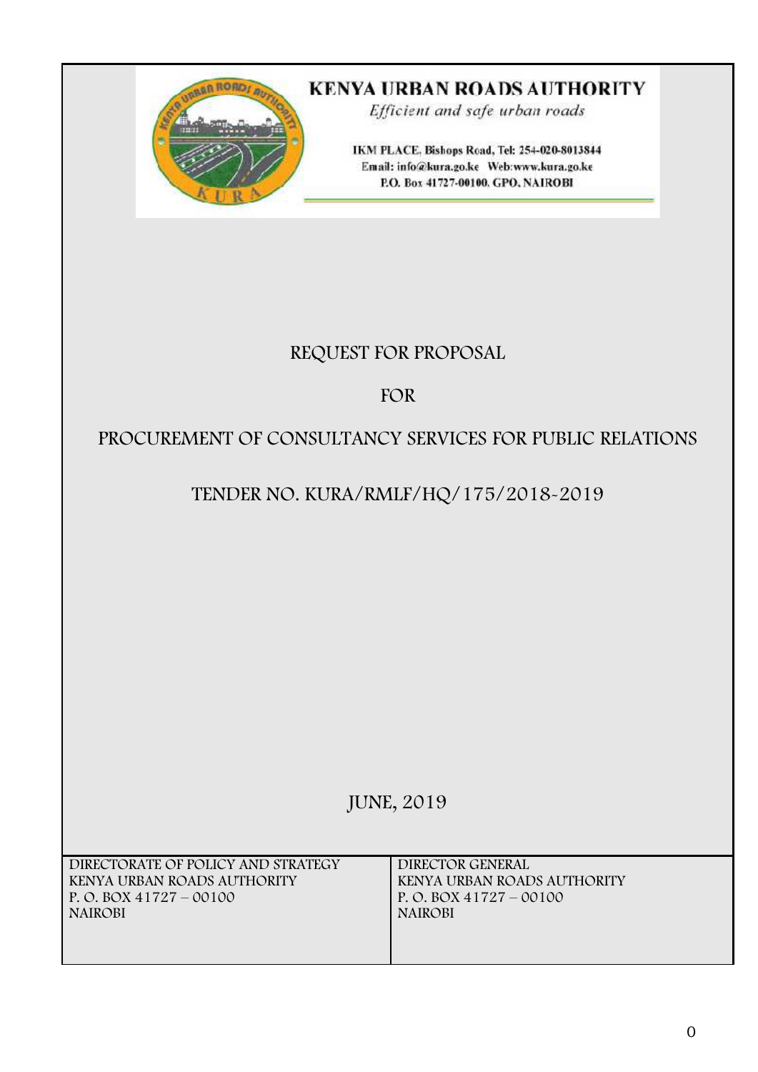

# **KENYA URBAN ROADS AUTHORITY**

Efficient and safe urban roads

IKM PLACE. Bishops Road, Tel: 254-020-8013844 Email: info@kura.go.ke Web:www.kura.go.ke P.O. Box 41727-00100. GPO, NAIROBI

# **REQUEST FOR PROPOSAL**

# **FOR**

# **PROCUREMENT OF CONSULTANCY SERVICES FOR PUBLIC RELATIONS**

# **TENDER NO. KURA/RMLF/HQ/175/2018-2019**

# **JUNE, 2019**

| DIRECTORATE OF POLICY AND STRATEGY | DIRECTOR GENERAL            |
|------------------------------------|-----------------------------|
| KENYA URBAN ROADS AUTHORITY        | KENYA URBAN ROADS AUTHORITY |
| P. O. BOX $41727 - 00100$          | P. O. BOX $41727 - 00100$   |
| <b>NAIROBI</b>                     | <b>NAIROBI</b>              |
|                                    |                             |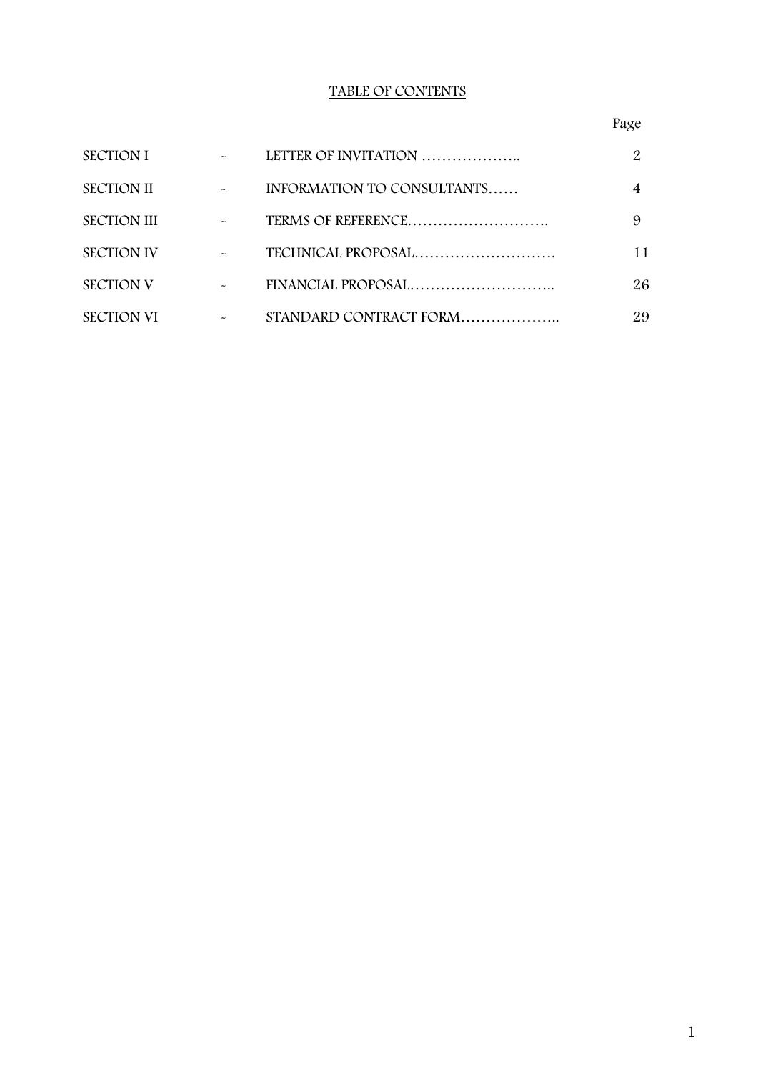## **TABLE OF CONTENTS**

## Page

| <b>SECTION I</b>   |                       | LETTER OF INVITATION       |    |
|--------------------|-----------------------|----------------------------|----|
| <b>SECTION II</b>  |                       | INFORMATION TO CONSULTANTS | 4  |
| <b>SECTION III</b> | $\tilde{\phantom{a}}$ | TERMS OF REFERENCE         | 9  |
| <b>SECTION IV</b>  |                       | TECHNICAL PROPOSAL         | 11 |
| <b>SECTION V</b>   |                       |                            | 26 |
| <b>SECTION VI</b>  |                       | STANDARD CONTRACT FORM     | 29 |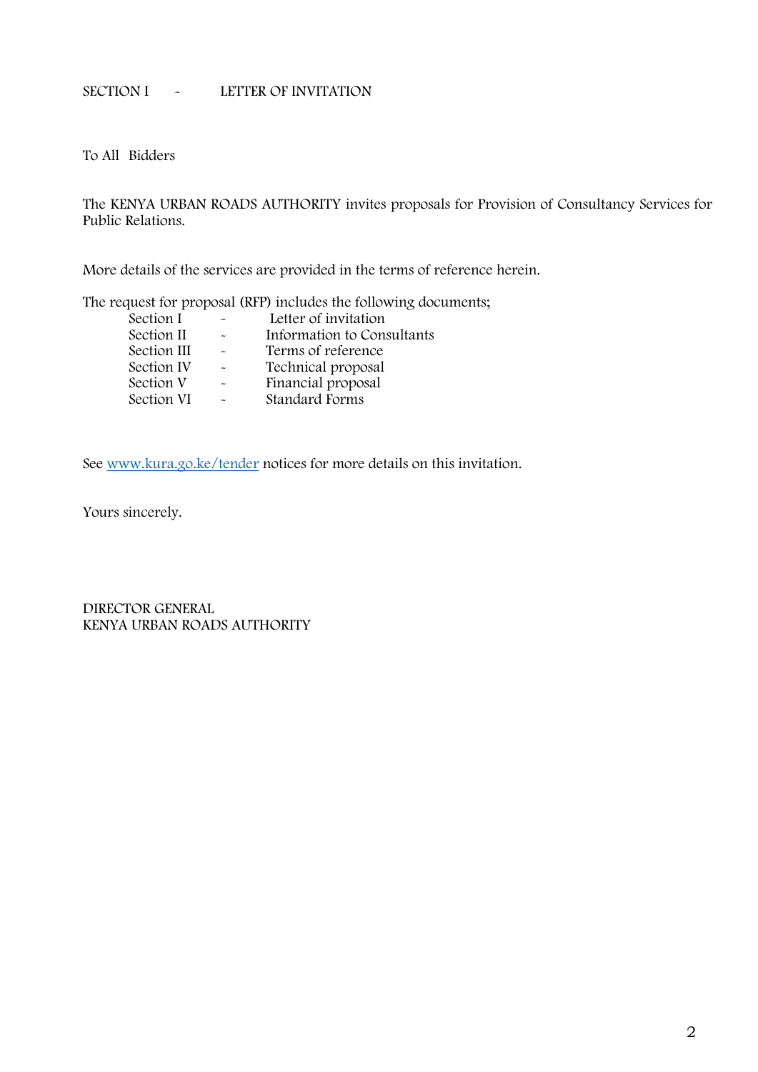## **SECTION I - LETTER OF INVITATION**

To All Bidders

The **KENYA URBAN ROADS AUTHORITY** invites proposals for **Provision of Consultancy Services for Public Relations.**

More details of the services are provided in the terms of reference herein.

The request for proposal (RFP) includes the following documents;

| Section I   |                       | Letter of invitation       |
|-------------|-----------------------|----------------------------|
| Section II  |                       | Information to Consultants |
| Section III | $\tilde{\phantom{a}}$ | Terms of reference         |
| Section IV  |                       | Technical proposal         |
| Section V   | $\sim$                | Financial proposal         |
| Section VI  | $\tilde{\phantom{a}}$ | <b>Standard Forms</b>      |

See www.kura.go.ke/tender notices for more details on this invitation.

Yours sincerely.

**DIRECTOR GENERAL KENYA URBAN ROADS AUTHORITY**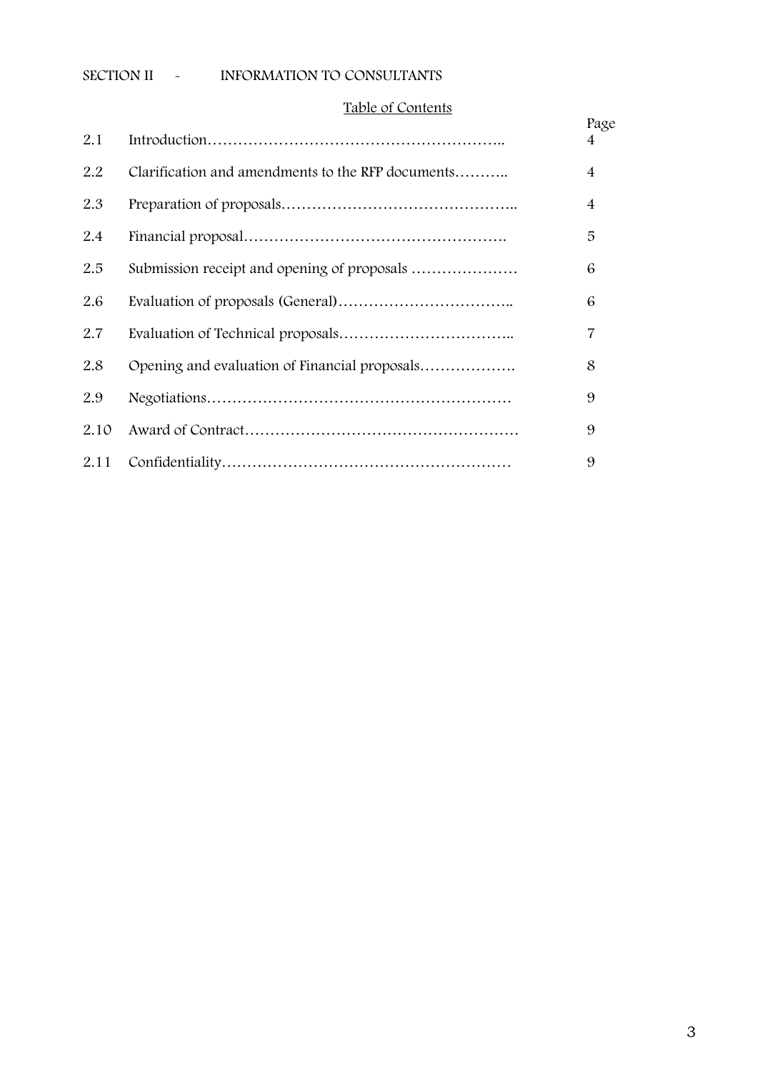## **SECTION II - INFORMATION TO CONSULTANTS**

## **Table of Contents**

|      | Taple of Contents                                 |                |
|------|---------------------------------------------------|----------------|
| 2.1  |                                                   | Page<br>4      |
| 2.2  | Clarification and amendments to the RFP documents | $\overline{4}$ |
| 2.3  |                                                   | $\overline{4}$ |
| 2.4  |                                                   | 5              |
| 2.5  |                                                   | 6              |
| 2.6  |                                                   | 6              |
| 2.7  |                                                   | 7              |
| 2.8  | Opening and evaluation of Financial proposals     | 8              |
| 2.9  |                                                   | 9              |
| 2.10 |                                                   | 9              |
| 2.11 |                                                   | 9              |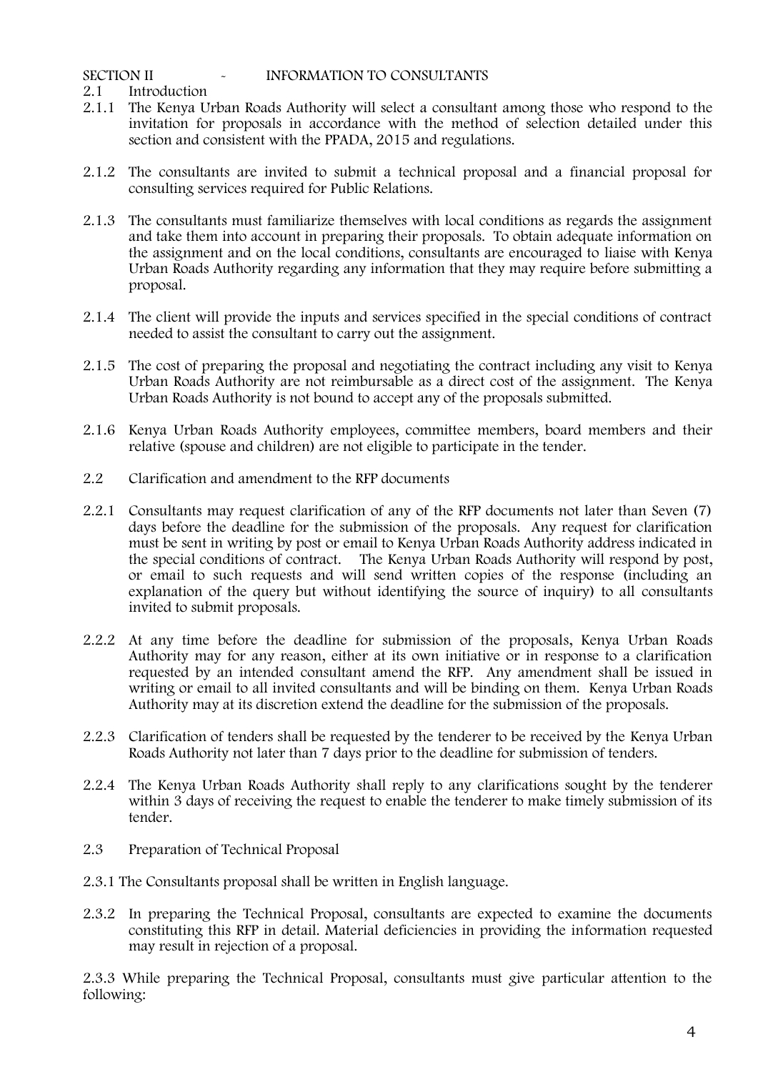**2.1 Introduction**

- 2.1.1 The **Kenya Urban Roads Authority** will select a consultant among those who respond to the invitation for proposals in accordance with the method of selection detailed under this section and consistent with the PPADA, 2015 and regulations.
- 2.1.2 The consultants are invited to submit a technical proposal and a financial proposal for consulting services required for **Public Relations.**
- 2.1.3 The consultants must familiarize themselves with local conditions as regards the assignment and take them into account in preparing their proposals. To obtain adequate information on the assignment and on the local conditions, consultants are encouraged to liaise with **Kenya Urban Roads Authority** regarding any information that they may require before submitting a proposal.
- 2.1.4 The client will provide the inputs and services specified in the special conditions of contract needed to assist the consultant to carry out the assignment.
- 2.1.5 The cost of preparing the proposal and negotiating the contract including any visit to **Kenya Urban Roads Authority** are not reimbursable as a direct cost of the assignment. The Kenya Urban Roads Authority is not bound to accept any of the proposals submitted.
- 2.1.6 **Kenya Urban Roads Authority** employees, committee members, board members and their relative (spouse and children) are not eligible to participate in the tender.
- **2.2 Clarification and amendment to the RFP documents**
- 2.2.1 Consultants may request clarification of any of the RFP documents not later than Seven (7) days before the deadline for the submission of the proposals. Any request for clarification must be sent in writing by post or email to **Kenya Urban Roads Authority** address indicated in the special conditions of contract. The Kenya Urban Roads Authority will respond by post, or email to such requests and will send written copies of the response (including an explanation of the query but without identifying the source of inquiry) to all consultants invited to submit proposals.
- 2.2.2 At any time before the deadline for submission of the proposals, **Kenya Urban Roads Authority** may for any reason, either at its own initiative or in response to a clarification requested by an intended consultant amend the RFP. Any amendment shall be issued in writing or email to all invited consultants and will be binding on them. **Kenya Urban Roads Authority** may at its discretion extend the deadline for the submission of the proposals.
- 2.2.3 Clarification of tenders shall be requested by the tenderer to be received by the **Kenya Urban Roads Authority** not later than 7 days prior to the deadline for submission of tenders.
- 2.2.4 The Kenya Urban Roads Authority shall reply to any clarifications sought by the tenderer within 3 days of receiving the request to enable the tenderer to make timely submission of its tender.
- **2.3 Preparation of Technical Proposal**
- 2.3.1 The Consultants proposal shall be written in English language.
- 2.3.2 In preparing the Technical Proposal, consultants are expected to examine the documents constituting this RFP in detail. Material deficiencies in providing the information requested may result in rejection of a proposal.

2.3.3 While preparing the Technical Proposal, consultants must give particular attention to the following: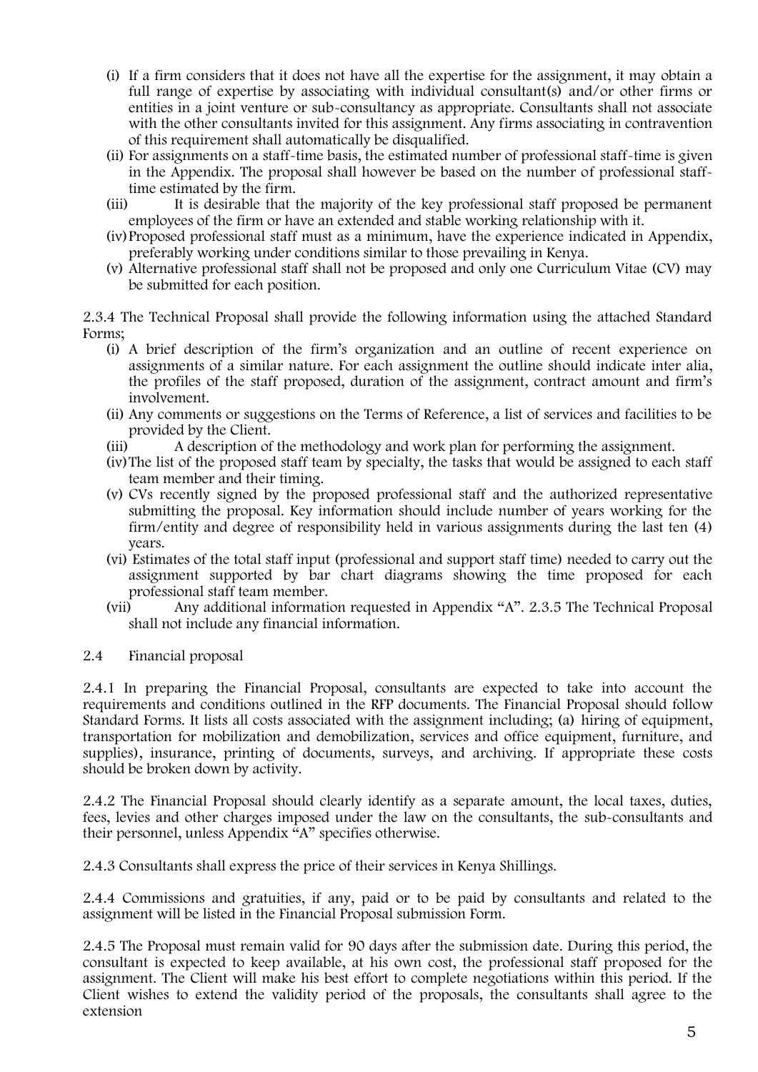- (i) If a firm considers that it does not have all the expertise for the assignment, it may obtain a full range of expertise by associating with individual consultant(s) and/or other firms or entities in a joint venture or sub-consultancy as appropriate. Consultants shall not associate with the other consultants invited for this assignment. Any firms associating in contravention of this requirement shall automatically be disqualified.
- (ii) For assignments on a staff-time basis, the estimated number of professional staff-time is given in the Appendix. The proposal shall however be based on the number of professional stafftime estimated by the firm.
- (iii) It is desirable that the majority of the key professional staff proposed be permanent employees of the firm or have an extended and stable working relationship with it.
- (iv)Proposed professional staff must as a minimum, have the experience indicated in Appendix, preferably working under conditions similar to those prevailing in Kenya.
- (v) Alternative professional staff shall not be proposed and only one Curriculum Vitae (CV) may be submitted for each position.

2.3.4 The Technical Proposal shall provide the following information using the attached Standard Forms;

- (i) A brief description of the firm's organization and an outline of recent experience on assignments of a similar nature. For each assignment the outline should indicate inter alia, the profiles of the staff proposed, duration of the assignment, contract amount and firm's involvement.
- (ii) Any comments or suggestions on the Terms of Reference, a list of services and facilities to be provided by the Client.
- (iii) A description of the methodology and work plan for performing the assignment.
- (iv)The list of the proposed staff team by specialty, the tasks that would be assigned to each staff team member and their timing.
- (v) CVs recently signed by the proposed professional staff and the authorized representative submitting the proposal. Key information should include number of years working for the firm/entity and degree of responsibility held in various assignments during the last ten (4) years.
- (vi) Estimates of the total staff input (professional and support staff time) needed to carry out the assignment supported by bar chart diagrams showing the time proposed for each professional staff team member.
- (vii) Any additional information requested in Appendix "A". 2.3.5 The Technical Proposal shall not include any financial information.
- **2.4 Financial proposal**

2.4.1 In preparing the Financial Proposal, consultants are expected to take into account the requirements and conditions outlined in the RFP documents. The Financial Proposal should follow Standard Forms. It lists all costs associated with the assignment including; (a) hiring of equipment, transportation for mobilization and demobilization, services and office equipment, furniture, and supplies), insurance, printing of documents, surveys, and archiving. If appropriate these costs should be broken down by activity.

2.4.2 The Financial Proposal should clearly identify as a separate amount, the local taxes, duties, fees, levies and other charges imposed under the law on the consultants, the sub-consultants and their personnel, unless Appendix "A" specifies otherwise.

2.4.3 Consultants shall express the price of their services in Kenya Shillings.

2.4.4 Commissions and gratuities, if any, paid or to be paid by consultants and related to the assignment will be listed in the Financial Proposal submission Form.

2.4.5 The Proposal must remain valid for 90 days after the submission date. During this period, the consultant is expected to keep available, at his own cost, the professional staff proposed for the assignment. The Client will make his best effort to complete negotiations within this period. If the Client wishes to extend the validity period of the proposals, the consultants shall agree to the extension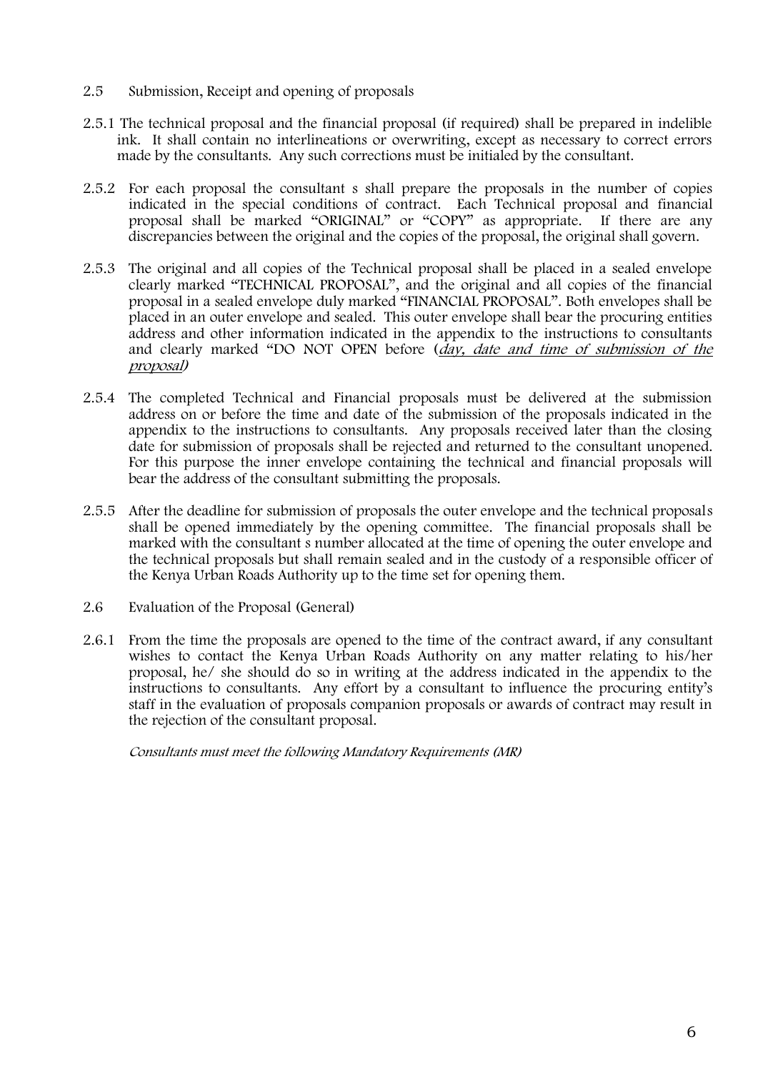- **2.5 Submission, Receipt and opening of proposals**
- 2.5.1 The technical proposal and the financial proposal (if required) shall be prepared in indelible ink. It shall contain no interlineations or overwriting, except as necessary to correct errors made by the consultants. Any such corrections must be initialed by the consultant.
- 2.5.2 For each proposal the consultant s shall prepare the proposals in the number of copies indicated in the special conditions of contract. Each Technical proposal and financial proposal shall be marked "ORIGINAL" or "COPY" as appropriate. If there are any discrepancies between the original and the copies of the proposal, the original shall govern.
- 2.5.3 The original and all copies of the Technical proposal shall be placed in a sealed envelope clearly marked "TECHNICAL PROPOSAL", and the original and all copies of the financial proposal in a sealed envelope duly marked "FINANCIAL PROPOSAL". Both envelopes shall be placed in an outer envelope and sealed. This outer envelope shall bear the procuring entities address and other information indicated in the appendix to the instructions to consultants and clearly marked "DO NOT OPEN before (*day, date and time of submission of the proposal)*
- 2.5.4 The completed Technical and Financial proposals must be delivered at the submission address on or before the time and date of the submission of the proposals indicated in the appendix to the instructions to consultants. Any proposals received later than the closing date for submission of proposals shall be rejected and returned to the consultant unopened. For this purpose the inner envelope containing the technical and financial proposals will bear the address of the consultant submitting the proposals.
- 2.5.5 After the deadline for submission of proposals the outer envelope and the technical proposals shall be opened immediately by the opening committee. The financial proposals shall be marked with the consultant s number allocated at the time of opening the outer envelope and the technical proposals but shall remain sealed and in the custody of a responsible officer of the Kenya Urban Roads Authority up to the time set for opening them.
- 2.6 **Evaluation of the Proposal (General)**
- 2.6.1 From the time the proposals are opened to the time of the contract award, if any consultant wishes to contact the Kenya Urban Roads Authority on any matter relating to his/her proposal, he/ she should do so in writing at the address indicated in the appendix to the instructions to consultants. Any effort by a consultant to influence the procuring entity's staff in the evaluation of proposals companion proposals or awards of contract may result in the rejection of the consultant proposal.

*Consultants must meet the following Mandatory Requirements (MR)*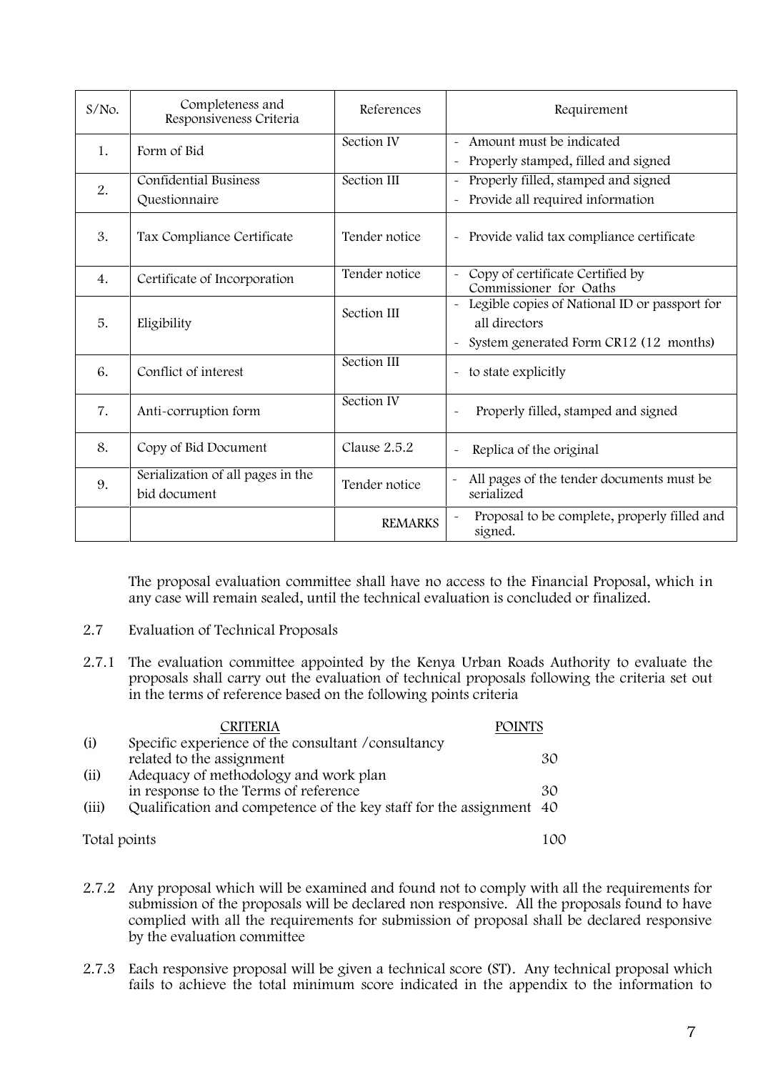| $S/NO$ . | Completeness and<br>Responsiveness Criteria       | References     | Requirement                                                                                                               |
|----------|---------------------------------------------------|----------------|---------------------------------------------------------------------------------------------------------------------------|
| 1.       | Form of Bid                                       | Section IV     | - Amount must be indicated<br>Properly stamped, filled and signed                                                         |
| 2.       | <b>Confidential Business</b><br>Questionnaire     | Section III    | Properly filled, stamped and signed<br>$\tilde{\phantom{a}}$<br>Provide all required information<br>$\tilde{\phantom{a}}$ |
| 3.       | Tax Compliance Certificate                        | Tender notice  | - Provide valid tax compliance certificate                                                                                |
| 4.       | Certificate of Incorporation                      | Tender notice  | Copy of certificate Certified by<br>Commissioner for Oaths                                                                |
| 5.       | Eligibility                                       | Section III    | Legible copies of National ID or passport for<br>all directors<br>System generated Form CR12 (12 months)<br>$\sim$        |
| 6.       | Conflict of interest                              | Section III    | to state explicitly<br>$\sim$                                                                                             |
| 7.       | Anti-corruption form                              | Section IV     | Properly filled, stamped and signed<br>$\sim$                                                                             |
| 8.       | Copy of Bid Document                              | Clause 2.5.2   | Replica of the original<br>$\sim$                                                                                         |
| 9.       | Serialization of all pages in the<br>bid document | Tender notice  | All pages of the tender documents must be<br>serialized                                                                   |
|          |                                                   | <b>REMARKS</b> | Proposal to be complete, properly filled and<br>signed.                                                                   |

The proposal evaluation committee shall have no access to the Financial Proposal, which in any case will remain sealed, until the technical evaluation is concluded or finalized.

- **2.7 Evaluation of Technical Proposals**
- 2.7.1 The evaluation committee appointed by the Kenya Urban Roads Authority to evaluate the proposals shall carry out the evaluation of technical proposals following the criteria set out in the terms of reference based on the following points criteria

|              | CRITERIA                                                            | <b>POINTS</b> |
|--------------|---------------------------------------------------------------------|---------------|
| (i)          | Specific experience of the consultant / consultancy                 |               |
|              | related to the assignment                                           | 30            |
| (ii)         | Adequacy of methodology and work plan                               |               |
|              | in response to the Terms of reference                               | 30            |
| (iii)        | Qualification and competence of the key staff for the assignment 40 |               |
| Total points |                                                                     | 100           |

- 2.7.2 Any proposal which will be examined and found not to comply with all the requirements for submission of the proposals will be declared non responsive. All the proposals found to have complied with all the requirements for submission of proposal shall be declared responsive by the evaluation committee
- 2.7.3 Each responsive proposal will be given a technical score (ST). Any technical proposal which fails to achieve the total minimum score indicated in the appendix to the information to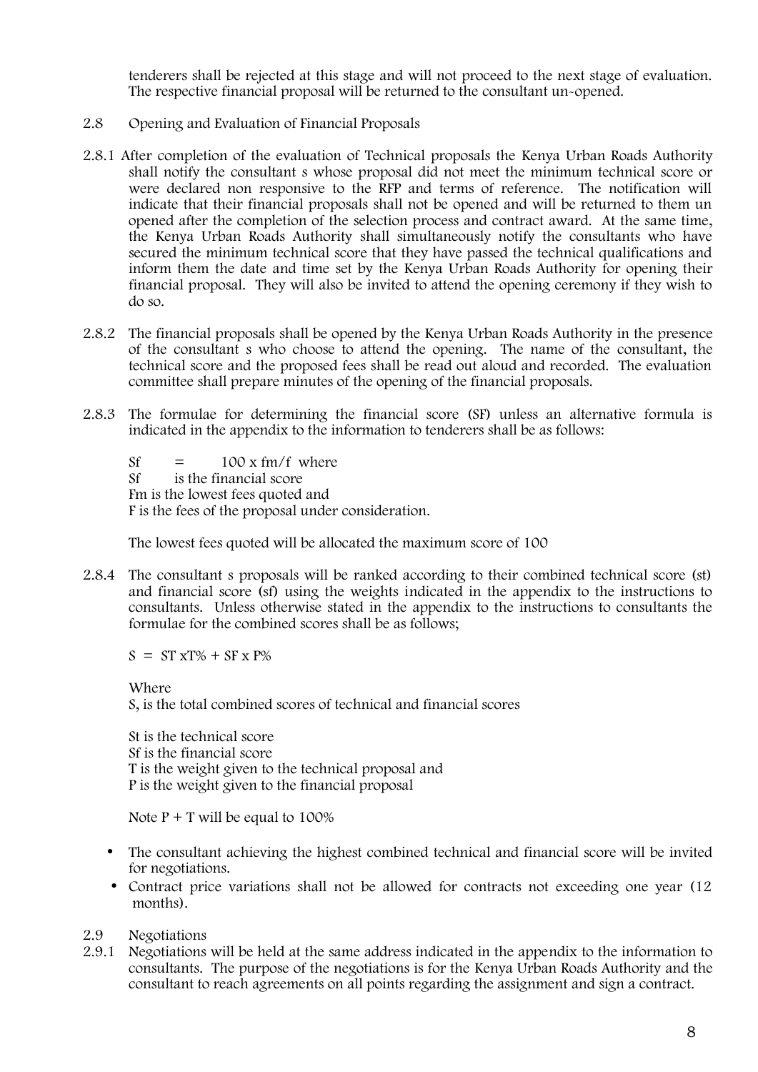tenderers shall be rejected at this stage and will not proceed to the next stage of evaluation. The respective financial proposal will be returned to the consultant un-opened.

- 2.8 **Opening and Evaluation of Financial Proposals**
- 2.8.1 After completion of the evaluation of Technical proposals the Kenya Urban Roads Authority shall notify the consultant s whose proposal did not meet the minimum technical score or were declared non responsive to the RFP and terms of reference. The notification will indicate that their financial proposals shall not be opened and will be returned to them un opened after the completion of the selection process and contract award. At the same time, the Kenya Urban Roads Authority shall simultaneously notify the consultants who have secured the minimum technical score that they have passed the technical qualifications and inform them the date and time set by the Kenya Urban Roads Authority for opening their financial proposal. They will also be invited to attend the opening ceremony if they wish to do so.
- 2.8.2 The financial proposals shall be opened by the Kenya Urban Roads Authority in the presence of the consultant s who choose to attend the opening. The name of the consultant, the technical score and the proposed fees shall be read out aloud and recorded. The evaluation committee shall prepare minutes of the opening of the financial proposals.
- 2.8.3 The formulae for determining the financial score (SF) unless an alternative formula is indicated in the appendix to the information to tenderers shall be as follows:

 $Sf = 100 \times fm/f$  where Sf is the financial score Fm is the lowest fees quoted and F is the fees of the proposal under consideration.

The lowest fees quoted will be allocated the maximum score of 100

2.8.4 The consultant s proposals will be ranked according to their combined technical score (st) and financial score (sf) using the weights indicated in the appendix to the instructions to consultants. Unless otherwise stated in the appendix to the instructions to consultants the formulae for the combined scores shall be as follows;

 $S = ST xT\% + SF x P\%$ 

Where S, is the total combined scores of technical and financial scores

St is the technical score Sf is the financial score T is the weight given to the technical proposal and P is the weight given to the financial proposal

Note  $P + T$  will be equal to 100%

- The consultant achieving the highest combined technical and financial score will be invited for negotiations.
- Contract price variations shall not be allowed for contracts not exceeding one year (12) months).
- **2.9 Negotiations**
- 2.9.1 Negotiations will be held at the same address indicated in the appendix to the information to consultants. The purpose of the negotiations is for the Kenya Urban Roads Authority and the consultant to reach agreements on all points regarding the assignment and sign a contract.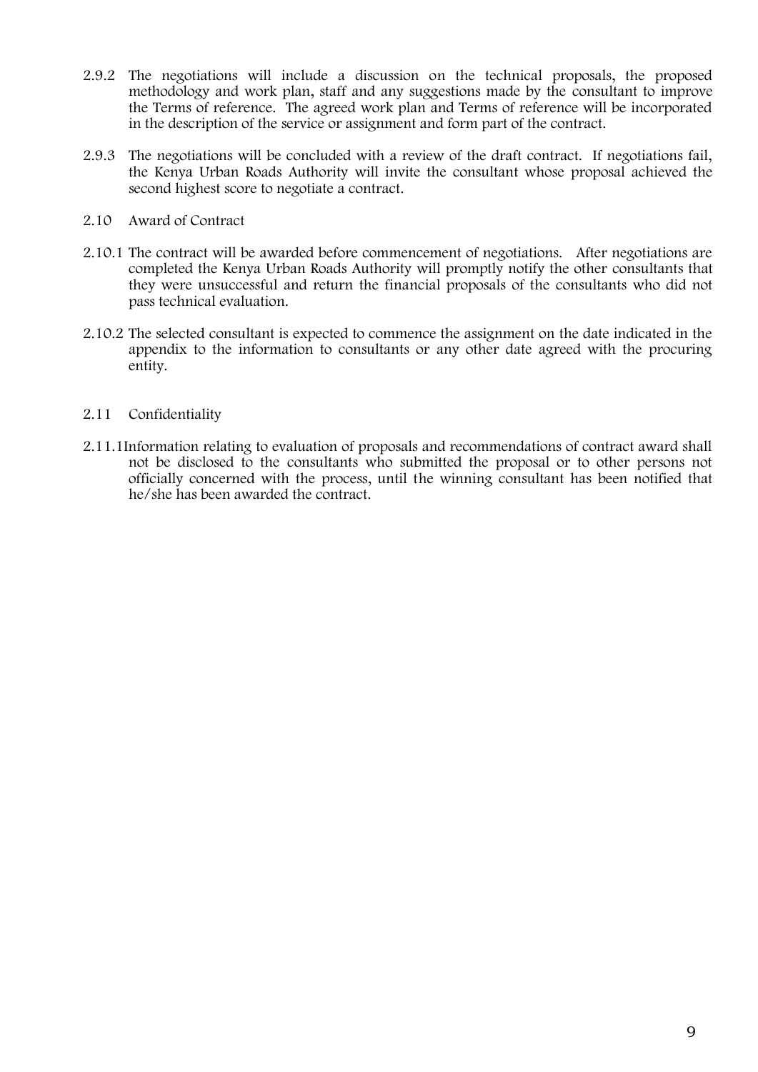- 2.9.2 The negotiations will include a discussion on the technical proposals, the proposed methodology and work plan, staff and any suggestions made by the consultant to improve the Terms of reference. The agreed work plan and Terms of reference will be incorporated in the description of the service or assignment and form part of the contract.
- 2.9.3 The negotiations will be concluded with a review of the draft contract. If negotiations fail, the Kenya Urban Roads Authority will invite the consultant whose proposal achieved the second highest score to negotiate a contract.
- **2.10 Award of Contract**
- 2.10.1 The contract will be awarded before commencement of negotiations. After negotiations are completed the Kenya Urban Roads Authority will promptly notify the other consultants that they were unsuccessful and return the financial proposals of the consultants who did not pass technical evaluation.
- 2.10.2 The selected consultant is expected to commence the assignment on the date indicated in the appendix to the information to consultants or any other date agreed with the procuring entity.

## **2.11 Confidentiality**

2.11.1Information relating to evaluation of proposals and recommendations of contract award shall not be disclosed to the consultants who submitted the proposal or to other persons not officially concerned with the process, until the winning consultant has been notified that he/she has been awarded the contract.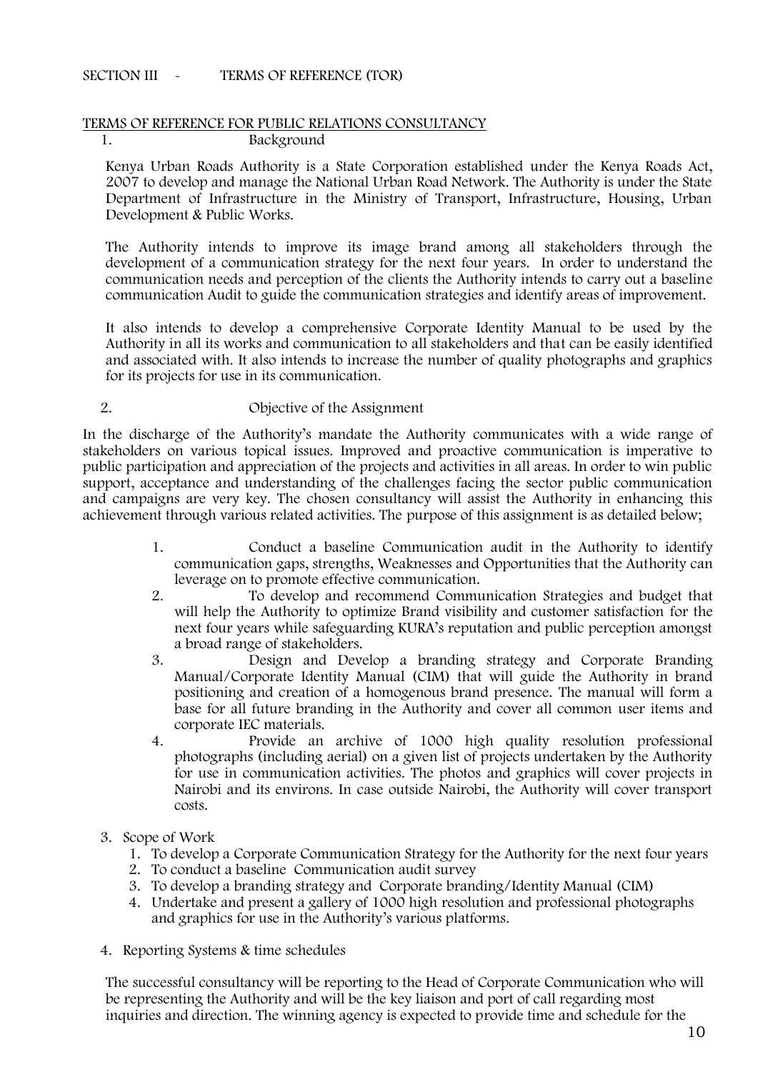## **SECTION III - TERMS OF REFERENCE (TOR)**

#### **TERMS OF REFERENCE FOR PUBLIC RELATIONS CONSULTANCY 1. Background**

Kenya Urban Roads Authority is a State Corporation established under the Kenya Roads Act, 2007 to develop and manage the National Urban Road Network. The Authority is under the State Department of Infrastructure in the Ministry of Transport, Infrastructure, Housing, Urban Development & Public Works.

The Authority intends to improve its image brand among all stakeholders through the development of a communication strategy for the next four years. In order to understand the communication needs and perception of the clients the Authority intends to carry out a baseline communication Audit to guide the communication strategies and identify areas of improvement.

It also intends to develop a comprehensive Corporate Identity Manual to be used by the Authority in all its works and communication to all stakeholders and that can be easily identified and associated with. It also intends to increase the number of quality photographs and graphics for its projects for use in its communication.

#### **2. Objective of the Assignment**

In the discharge of the Authority's mandate the Authority communicates with a wide range of stakeholders on various topical issues. Improved and proactive communication is imperative to public participation and appreciation of the projects and activities in all areas. In order to win public support, acceptance and understanding of the challenges facing the sector public communication and campaigns are very key. The chosen consultancy will assist the Authority in enhancing this achievement through various related activities. The purpose of this assignment is as detailed below;

- 1. Conduct a baseline Communication audit in the Authority to identify communication gaps, strengths, Weaknesses and Opportunities that the Authority can leverage on to promote effective communication.
- 2. To develop and recommend Communication Strategies and budget that will help the Authority to optimize Brand visibility and customer satisfaction for the next four years while safeguarding KURA's reputation and public perception amongst a broad range of stakeholders.
- 3. Design and Develop a branding strategy and Corporate Branding Manual/Corporate Identity Manual (CIM) that will guide the Authority in brand positioning and creation of a homogenous brand presence. The manual will form a base for all future branding in the Authority and cover all common user items and corporate IEC materials.
- 4. Provide an archive of 1000 high quality resolution professional photographs (including aerial) on a given list of projects undertaken by the Authority for use in communication activities. The photos and graphics will cover projects in Nairobi and its environs. In case outside Nairobi, the Authority will cover transport costs.
- **3. Scope of Work**
	- 1. To develop a Corporate Communication Strategy for the Authority for the next four years
	- 2. To conduct a baseline Communication audit survey
	- 3. To develop a branding strategy and Corporate branding/Identity Manual (CIM)
	- 4. Undertake and present a gallery of 1000 high resolution and professional photographs and graphics for use in the Authority's various platforms.
- **4. Reporting Systems & time schedules**

The successful consultancy will be reporting to the Head of Corporate Communication who will be representing the Authority and will be the key liaison and port of call regarding most inquiries and direction. The winning agency is expected to provide time and schedule for the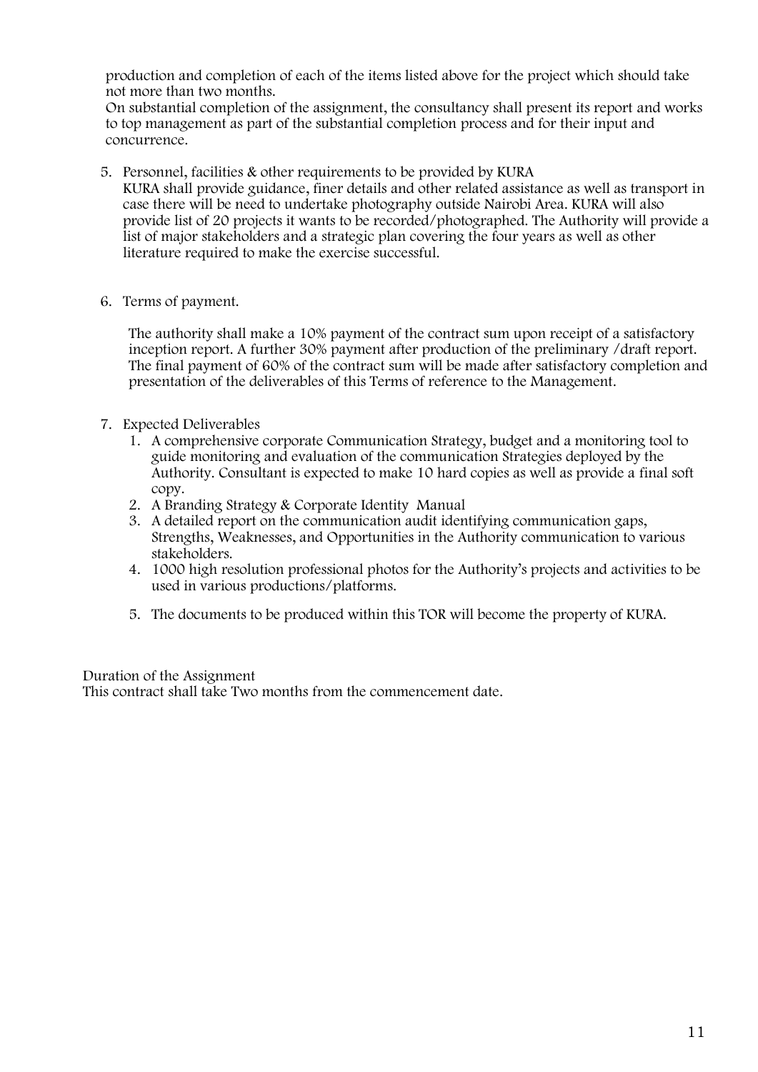production and completion of each of the items listed above for the project which should take not more than two months.

On substantial completion of the assignment, the consultancy shall present its report and works to top management as part of the substantial completion process and for their input and concurrence.

- **5. Personnel, facilities & other requirements to be provided by KURA** KURA shall provide guidance, finer details and other related assistance as well as transport in case there will be need to undertake photography outside Nairobi Area. KURA will also provide list of 20 projects it wants to be recorded/photographed. The Authority will provide a list of major stakeholders and a strategic plan covering the four years as well as other literature required to make the exercise successful.
- **6. Terms of payment.**

The authority shall make a 10% payment of the contract sum upon receipt of a satisfactory inception report. A further 30% payment after production of the preliminary /draft report. The final payment of 60% of the contract sum will be made after satisfactory completion and presentation of the deliverables of this Terms of reference to the Management**.**

- **7. Expected Deliverables**
	- 1. A comprehensive corporate Communication Strategy, budget and a monitoring tool to guide monitoring and evaluation of the communication Strategies deployed by the Authority. Consultant is expected to make 10 hard copies as well as provide a final soft copy.
	- 2. A Branding Strategy & Corporate Identity Manual
	- 3. A detailed report on the communication audit identifying communication gaps, Strengths, Weaknesses, and Opportunities in the Authority communication to various stakeholders.
	- 4. 1000 high resolution professional photos for the Authority's projects and activities to be used in various productions/platforms.
	- 5. The documents to be produced within this TOR will become the property of KURA.

**Duration of the Assignment** This contract shall take Two months from the commencement date.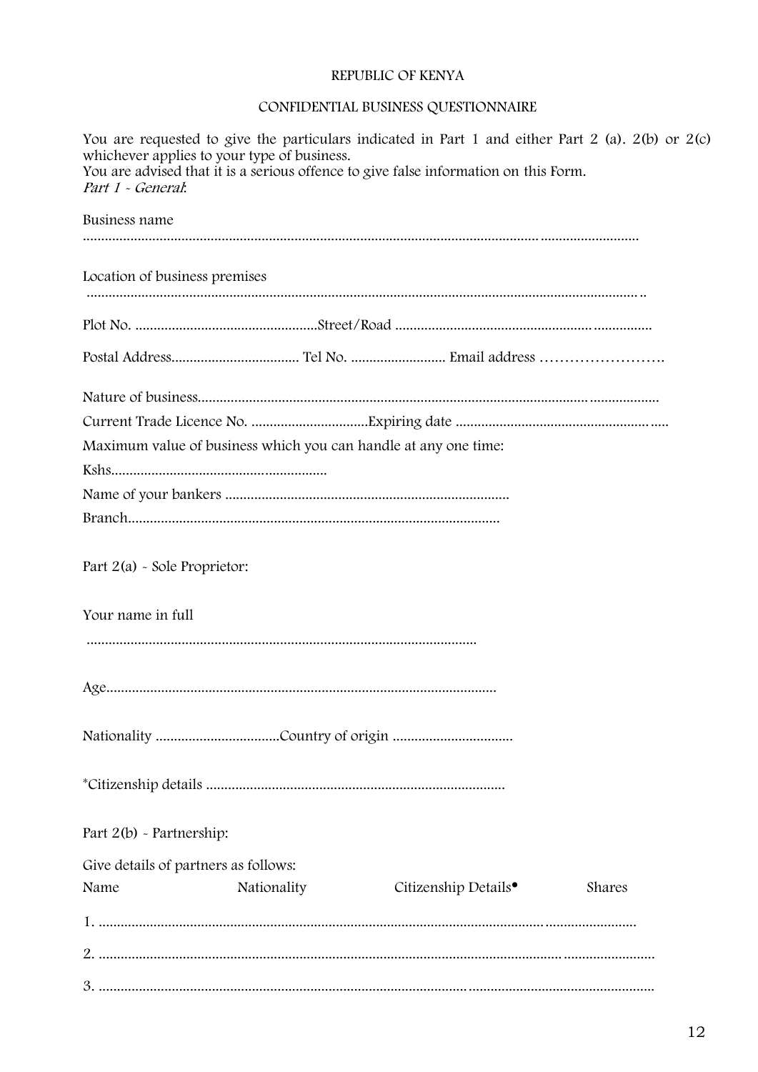## REPUBLIC OF KENYA

## CONFIDENTIAL BUSINESS QUESTIONNAIRE

| whichever applies to your type of business.<br>Part 1 - General: |             | You are requested to give the particulars indicated in Part 1 and either Part 2 (a). 2(b) or 2(c)<br>You are advised that it is a serious offence to give false information on this Form. |        |  |
|------------------------------------------------------------------|-------------|-------------------------------------------------------------------------------------------------------------------------------------------------------------------------------------------|--------|--|
| Business name                                                    |             |                                                                                                                                                                                           |        |  |
| Location of business premises                                    |             |                                                                                                                                                                                           |        |  |
|                                                                  |             |                                                                                                                                                                                           |        |  |
|                                                                  |             |                                                                                                                                                                                           |        |  |
|                                                                  |             | Maximum value of business which you can handle at any one time:                                                                                                                           |        |  |
|                                                                  |             |                                                                                                                                                                                           |        |  |
|                                                                  |             |                                                                                                                                                                                           |        |  |
| Part $2(a)$ - Sole Proprietor:                                   |             |                                                                                                                                                                                           |        |  |
| Your name in full                                                |             |                                                                                                                                                                                           |        |  |
|                                                                  |             |                                                                                                                                                                                           |        |  |
|                                                                  |             |                                                                                                                                                                                           |        |  |
|                                                                  |             |                                                                                                                                                                                           |        |  |
| Part $2(b)$ - Partnership:                                       |             |                                                                                                                                                                                           |        |  |
| Give details of partners as follows:                             |             |                                                                                                                                                                                           |        |  |
| Name                                                             | Nationality | Citizenship Details <sup>•</sup>                                                                                                                                                          | Shares |  |
|                                                                  |             |                                                                                                                                                                                           |        |  |
|                                                                  |             |                                                                                                                                                                                           |        |  |
|                                                                  |             |                                                                                                                                                                                           |        |  |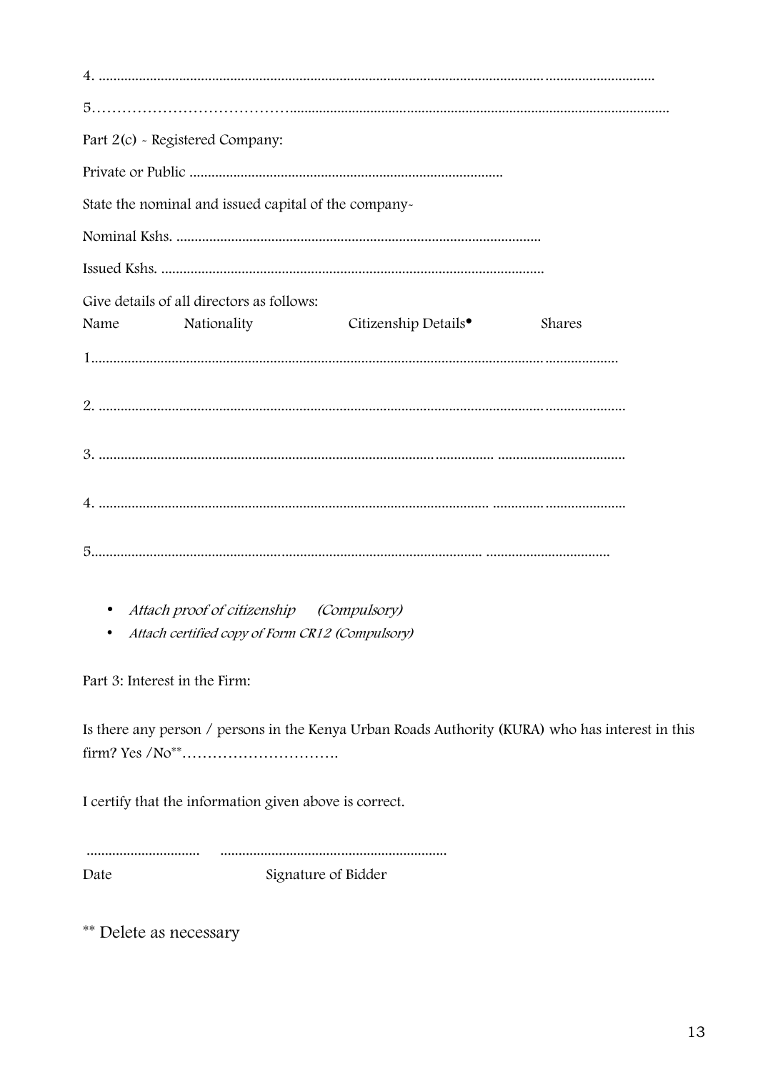| Part 2(c) - Registered Company:                       |                                  |        |
|-------------------------------------------------------|----------------------------------|--------|
|                                                       |                                  |        |
| State the nominal and issued capital of the company-  |                                  |        |
|                                                       |                                  |        |
|                                                       |                                  |        |
| Give details of all directors as follows:             |                                  |        |
| Name Nationality                                      | Citizenship Details <sup>•</sup> | Shares |
|                                                       |                                  |        |
|                                                       |                                  |        |
|                                                       |                                  |        |
|                                                       |                                  |        |
|                                                       |                                  |        |
|                                                       |                                  |        |
| Attach proof of citizenship (Compulsory)<br>$\bullet$ |                                  |        |

• Attach certified copy of Form CR12 (Compulsory)

Part 3: Interest in the Firm:

Is there any person / persons in the Kenya Urban Roads Authority (KURA) who has interest in this 

I certify that the information given above is correct.

Date Signature of Bidder

\*\* Delete as necessary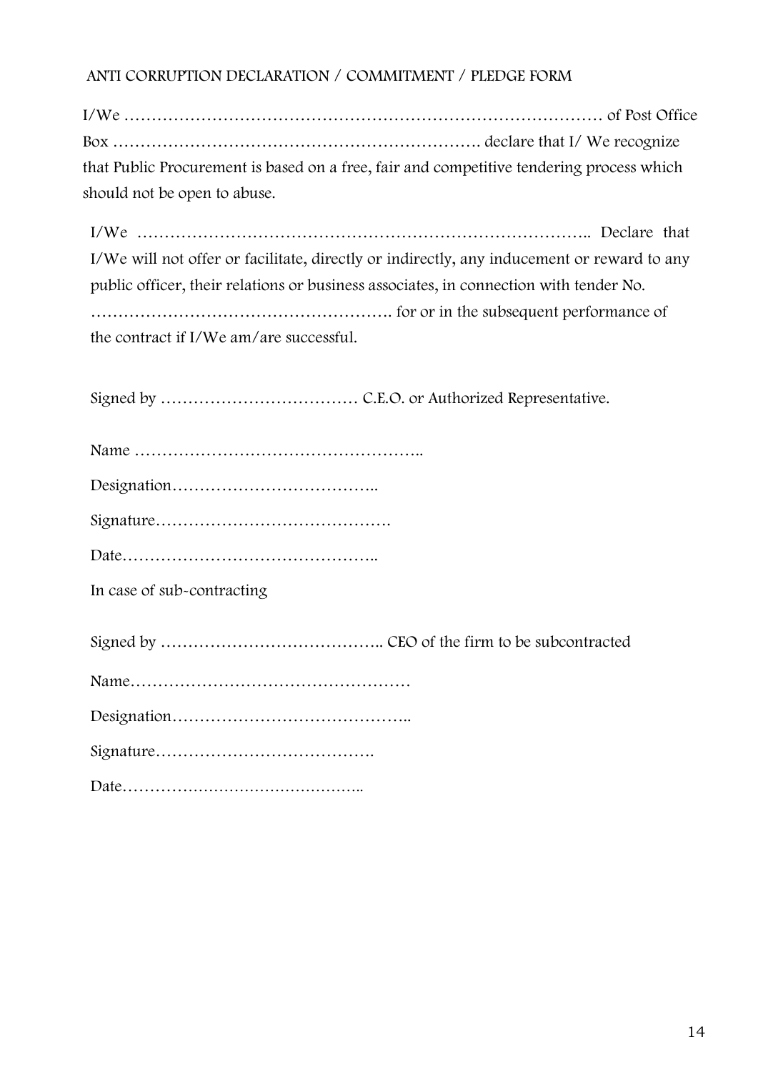I/We …………………………………………………………………………… of Post Office Box …………………………………………………………. declare that I/ We recognize that Public Procurement is based on a free, fair and competitive tendering process which should not be open to abuse.

I/We ……………………………………………………………………….. Declare that I/We will not offer or facilitate, directly or indirectly, any inducement or reward to any public officer, their relations or business associates, in connection with tender No. ………………………………………………. for or in the subsequent performance of the contract if I/We am/are successful.

Signed by ……………………………… C.E.O. or Authorized Representative.

|--|

Designation………………………………..

Signature…………………………………….

Date………………………………………..

**In case of sub-contracting**

Signed by ………………………………….. CEO of the firm to be subcontracted

|--|

Designation……………………………………..

Signature………………………………….

Date………………………………………..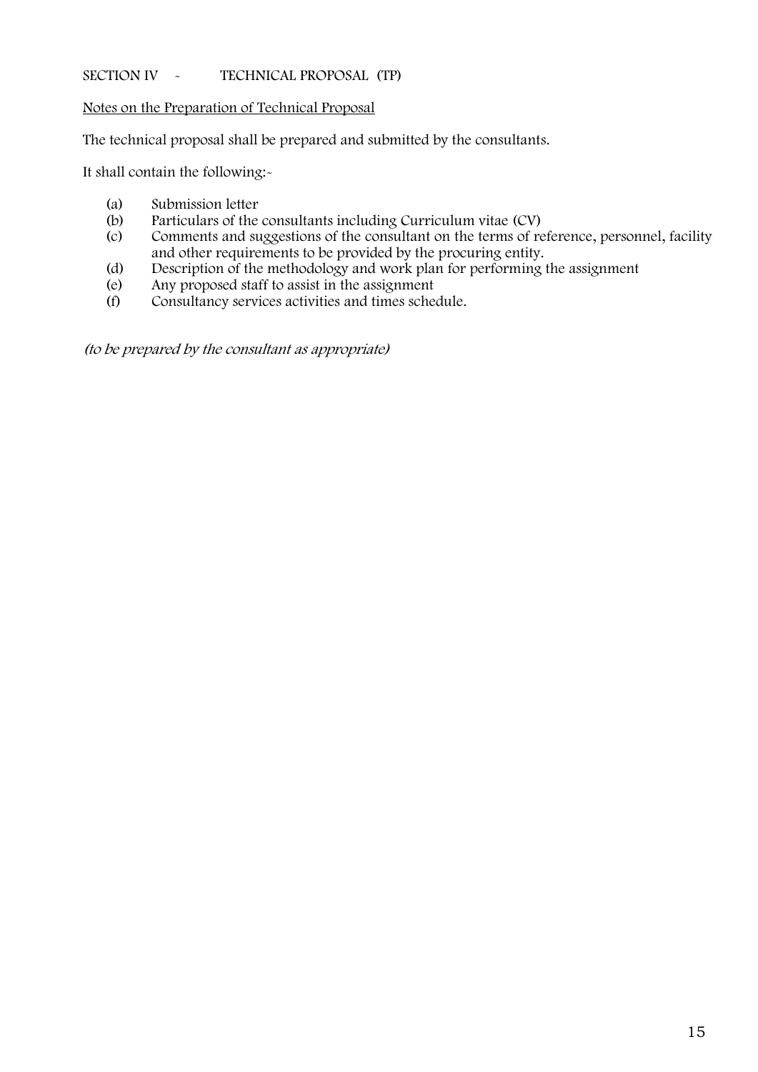## **SECTION IV • TECHNICAL PROPOSAL (TP)**

**Notes on the Preparation of Technical Proposal**

The technical proposal shall be prepared and submitted by the consultants.

It shall contain the following:-

- (a) Submission letter<br>(b) Particulars of the
- Particulars of the consultants including Curriculum vitae (CV)
- (c) Comments and suggestions of the consultant on the terms of reference, personnel, facility and other requirements to be provided by the procuring entity.
- (d) Description of the methodology and work plan for performing the assignment
- (e) Any proposed staff to assist in the assignment
- (f) Consultancy services activities and times schedule.

*(to be prepared by the consultant as appropriate)*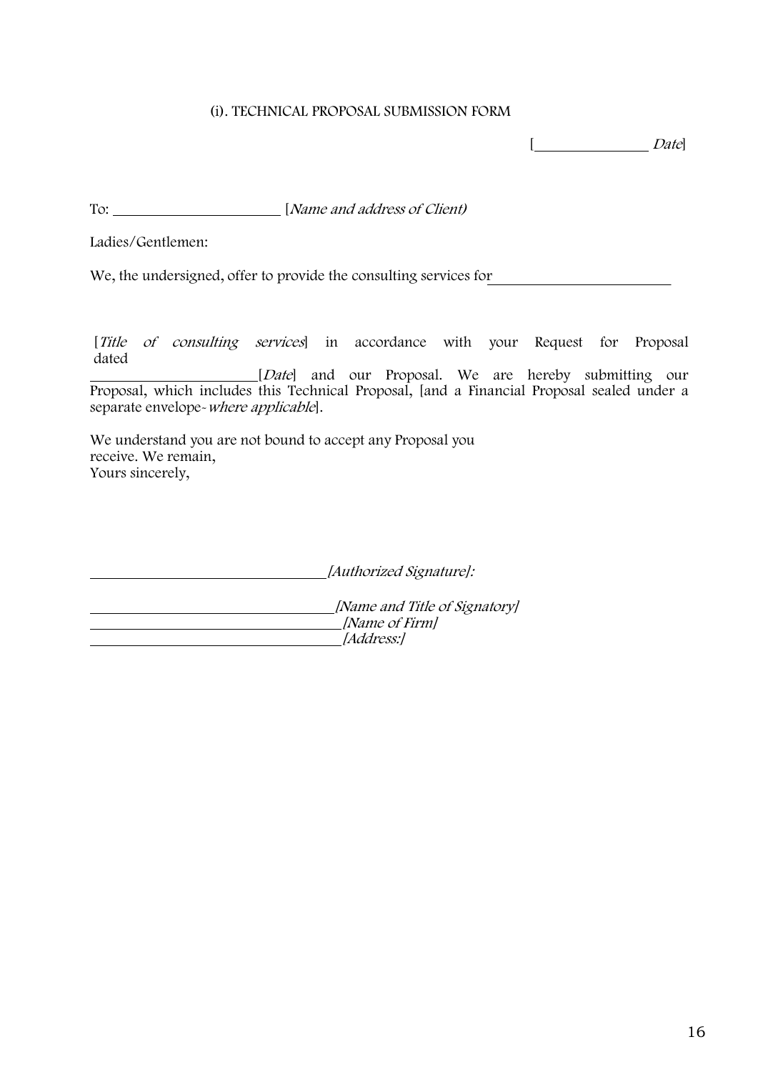## **(i). TECHNICAL PROPOSAL SUBMISSION FORM**

[ *Date*]

To: [*Name and address of Client)*

Ladies/Gentlemen:

We, the undersigned, offer to provide the consulting services for

[*Title of consulting services*] in accordance with your Request for Proposal dated

[*Date*] and our Proposal. We are hereby submitting our Proposal, which includes this Technical Proposal, [and a Financial Proposal sealed under a separate envelope-*where applicable*].

We understand you are not bound to accept any Proposal you receive. We remain, Yours sincerely,

*[Authorized Signature]:*

*[Name and Title of Signatory] [Name of Firm] [Address:]*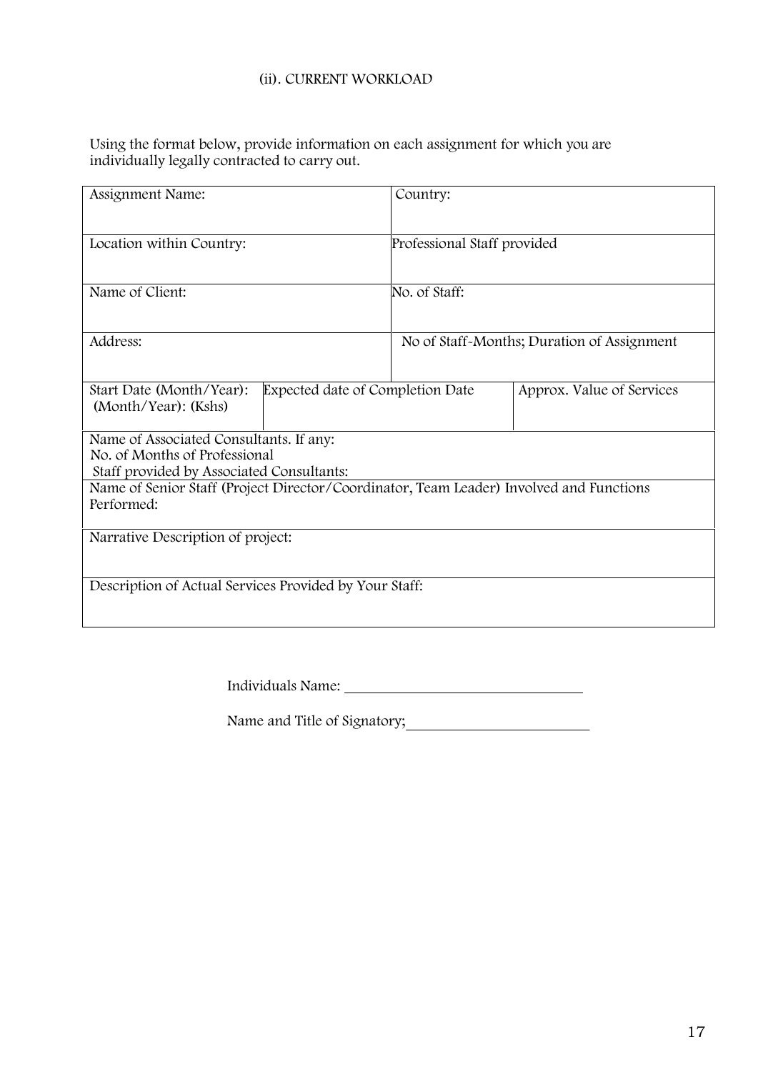#### **(ii). CURRENT WORKLOAD**

Using the format below, provide information on each assignment for which you are individually legally contracted to carry out.

| Assignment Name:                                                                                                      | Country:                    |                                            |
|-----------------------------------------------------------------------------------------------------------------------|-----------------------------|--------------------------------------------|
| Location within Country:                                                                                              | Professional Staff provided |                                            |
| Name of Client:                                                                                                       | No. of Staff:               |                                            |
| Address:                                                                                                              |                             | No of Staff-Months; Duration of Assignment |
| Expected date of Completion Date<br>Start Date (Month/Year):<br>(Month/Year): (Kshs)                                  |                             | Approx. Value of Services                  |
| Name of Associated Consultants. If any:<br>No. of Months of Professional<br>Staff provided by Associated Consultants: |                             |                                            |
| Name of Senior Staff (Project Director/Coordinator, Team Leader) Involved and Functions<br>Performed:                 |                             |                                            |
| Narrative Description of project:                                                                                     |                             |                                            |
| Description of Actual Services Provided by Your Staff:                                                                |                             |                                            |
|                                                                                                                       |                             |                                            |

Individuals Name:

Name and Title of Signatory;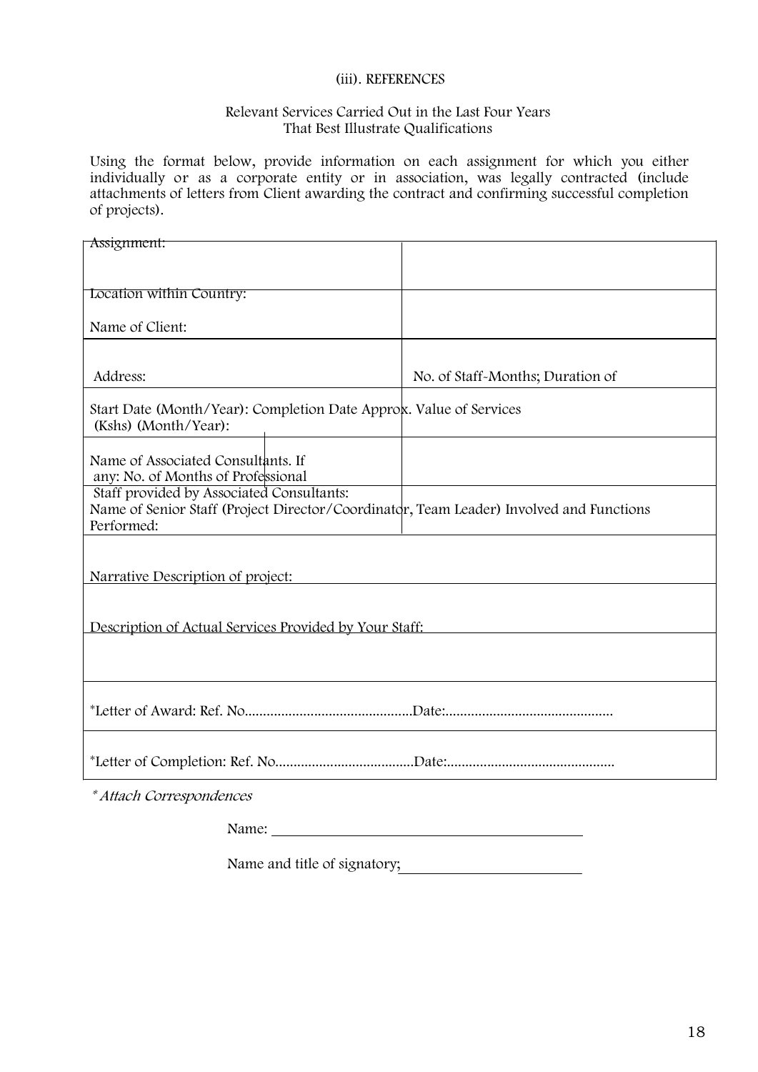#### **(iii). REFERENCES**

#### **Relevant Services Carried Out in the Last Four Years That Best Illustrate Qualifications**

Using the format below, provide information on each assignment for which you either individually or as a corporate entity or in association, was legally contracted (include attachments of letters from Client awarding the contract and confirming successful completion of projects).

| Assignment:                                                                                                                                        |                                  |
|----------------------------------------------------------------------------------------------------------------------------------------------------|----------------------------------|
| Location within Country:                                                                                                                           |                                  |
| Name of Client:                                                                                                                                    |                                  |
| Address:                                                                                                                                           | No. of Staff-Months; Duration of |
| Start Date (Month/Year): Completion Date Approk. Value of Services<br>(Kshs) (Month/Year):                                                         |                                  |
| Name of Associated Consultants. If<br>any: No. of Months of Professional                                                                           |                                  |
| Staff provided by Associated Consultants:<br>Name of Senior Staff (Project Director/Coordinator, Team Leader) Involved and Functions<br>Performed: |                                  |
| Narrative Description of project:                                                                                                                  |                                  |
| Description of Actual Services Provided by Your Staff:                                                                                             |                                  |
|                                                                                                                                                    |                                  |
|                                                                                                                                                    |                                  |
|                                                                                                                                                    |                                  |
| * Attach Correspondences                                                                                                                           |                                  |

Name:

Name and title of signatory;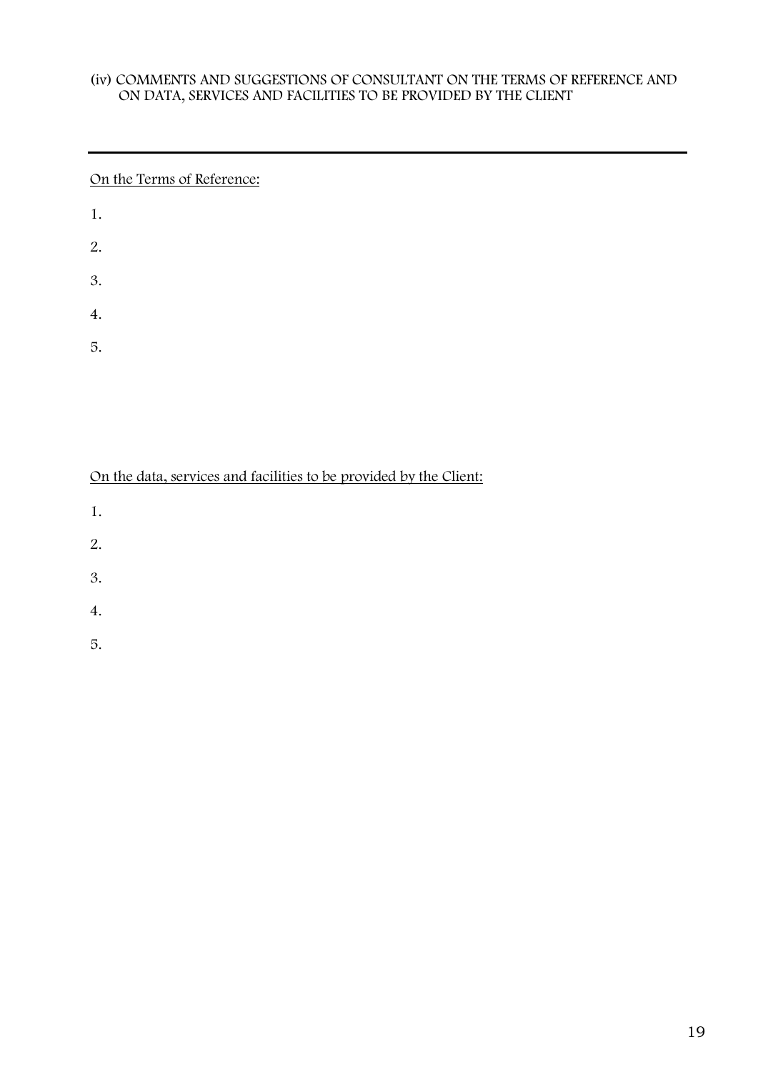## **(iv) COMMENTS AND SUGGESTIONS OF CONSULTANT ON THE TERMS OF REFERENCE AND ON DATA, SERVICES AND FACILITIES TO BE PROVIDED BY THE CLIENT**

## On the Terms of Reference:

| 1. |  |  |
|----|--|--|
| 2. |  |  |
| 3. |  |  |
| 4. |  |  |

5.

## On the data, services and facilities to be provided by the Client:

- 1.
- 
- 2.
- 3.
- 4.
- 5.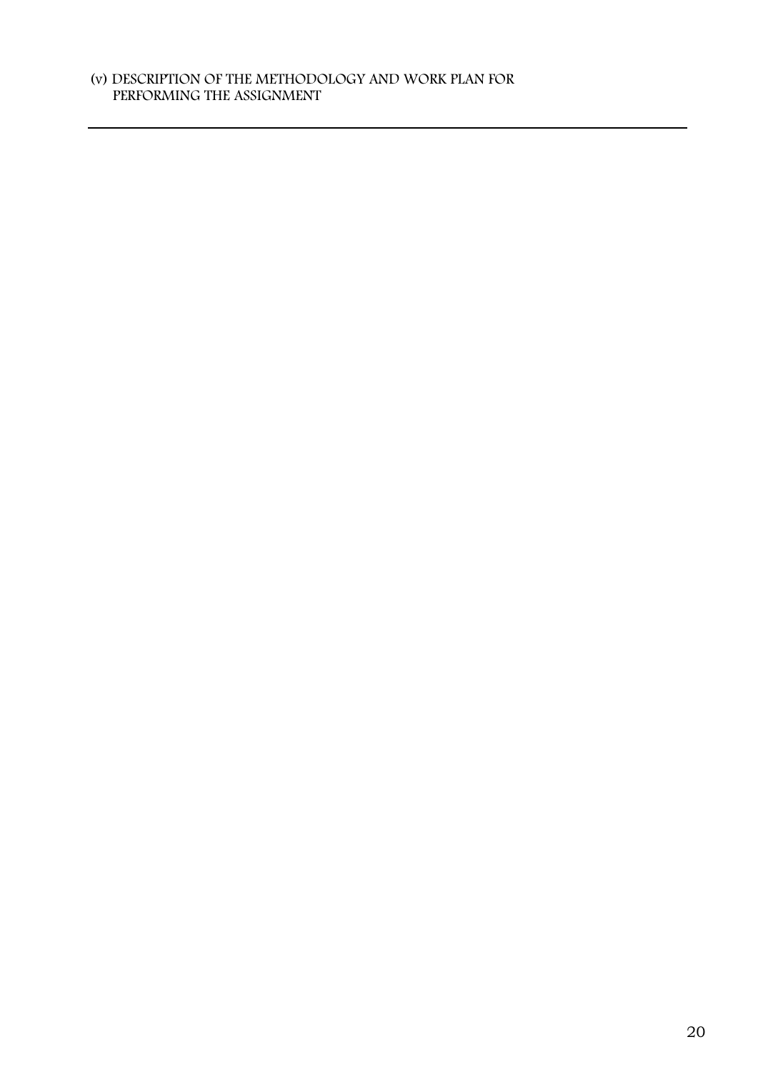## **(v) DESCRIPTION OF THE METHODOLOGY AND WORK PLAN FOR PERFORMING THE ASSIGNMENT**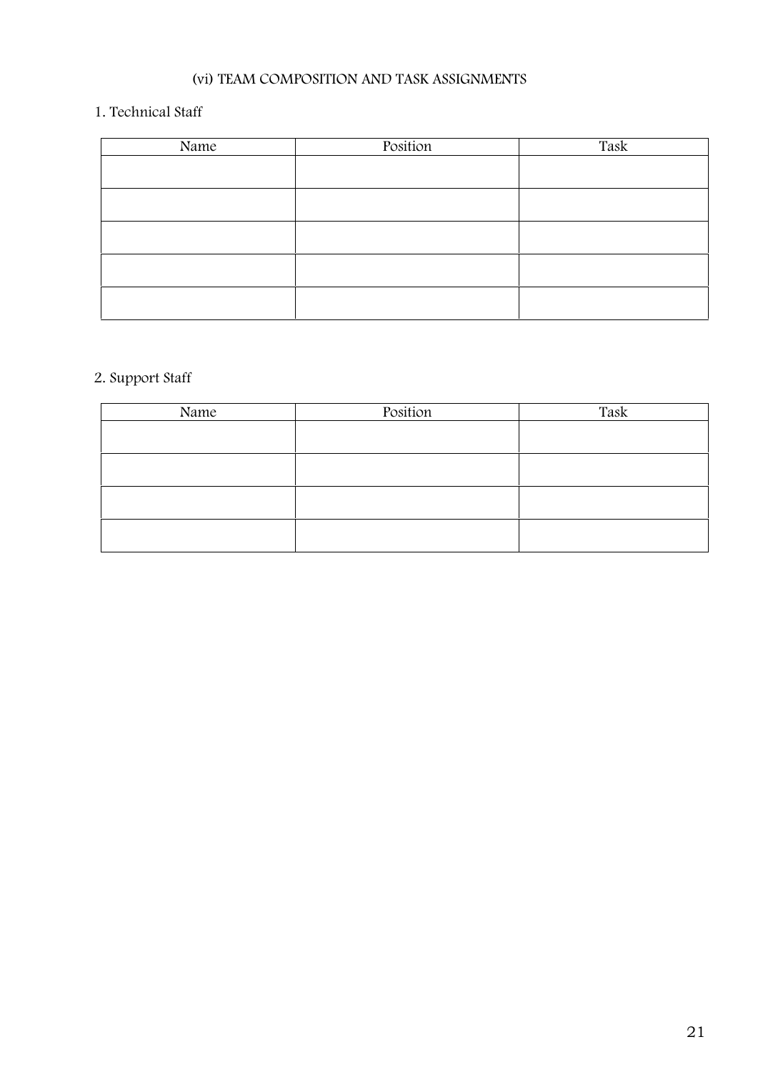## **(vi) TEAM COMPOSITION AND TASK ASSIGNMENTS**

## **1. Technical Staff**

| Name | Position | Task |
|------|----------|------|
|      |          |      |
|      |          |      |
|      |          |      |
|      |          |      |
|      |          |      |
|      |          |      |
|      |          |      |
|      |          |      |
|      |          |      |
|      |          |      |

# **2. Support Staff**

| Name | Position | Task |
|------|----------|------|
|      |          |      |
|      |          |      |
|      |          |      |
|      |          |      |
|      |          |      |
|      |          |      |
|      |          |      |
|      |          |      |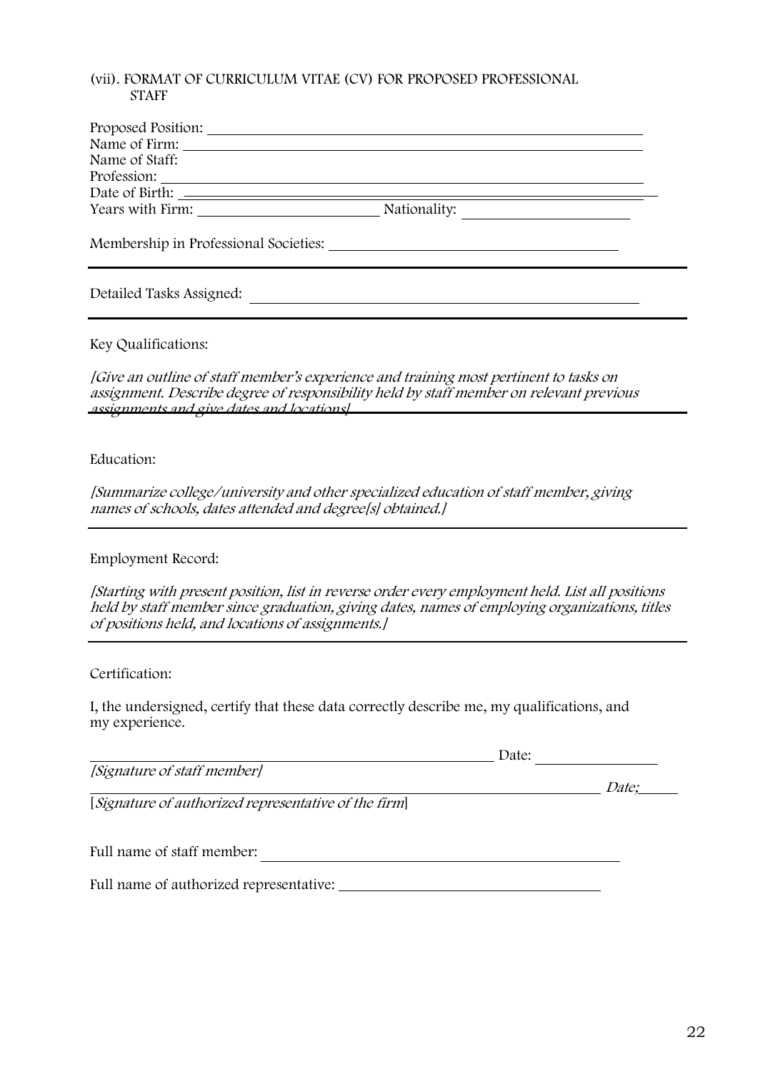## **(vii). FORMAT OF CURRICULUM VITAE (CV) FOR PROPOSED PROFESSIONAL STAFF**

| Proposed Position:                    |              |
|---------------------------------------|--------------|
| Name of Firm:                         |              |
| Name of Staff:                        |              |
| Profession:                           |              |
|                                       |              |
|                                       | Nationality: |
| Membership in Professional Societies: |              |

## Detailed Tasks Assigned:

## **Key Qualifications:**

*[Give an outline of staff member's experience and training most pertinent to tasks on assignment. Describe degree of responsibility held by staff member on relevant previous assignments and give dates and locations].*

#### **Education:**

*[Summarize college/university and other specialized education of staff member, giving names of schools, dates attended and degree[s] obtained.]*

#### **Employment Record:**

*[Starting with present position, list in reverse order every employment held. List all positions held by staff member since graduation, giving dates, names of employing organizations, titles of positions held, and locations of assignments.]*

**Certification:**

I, the undersigned, certify that these data correctly describe me, my qualifications, and my experience.

|                                                      | Date: |              |
|------------------------------------------------------|-------|--------------|
| [Signature of staff member]                          |       |              |
|                                                      |       | <i>Date:</i> |
| [Signature of authorized representative of the firm] |       |              |
|                                                      |       |              |
|                                                      |       |              |
| Full name of staff member:                           |       |              |
|                                                      |       |              |
|                                                      |       |              |

Full name of authorized representative: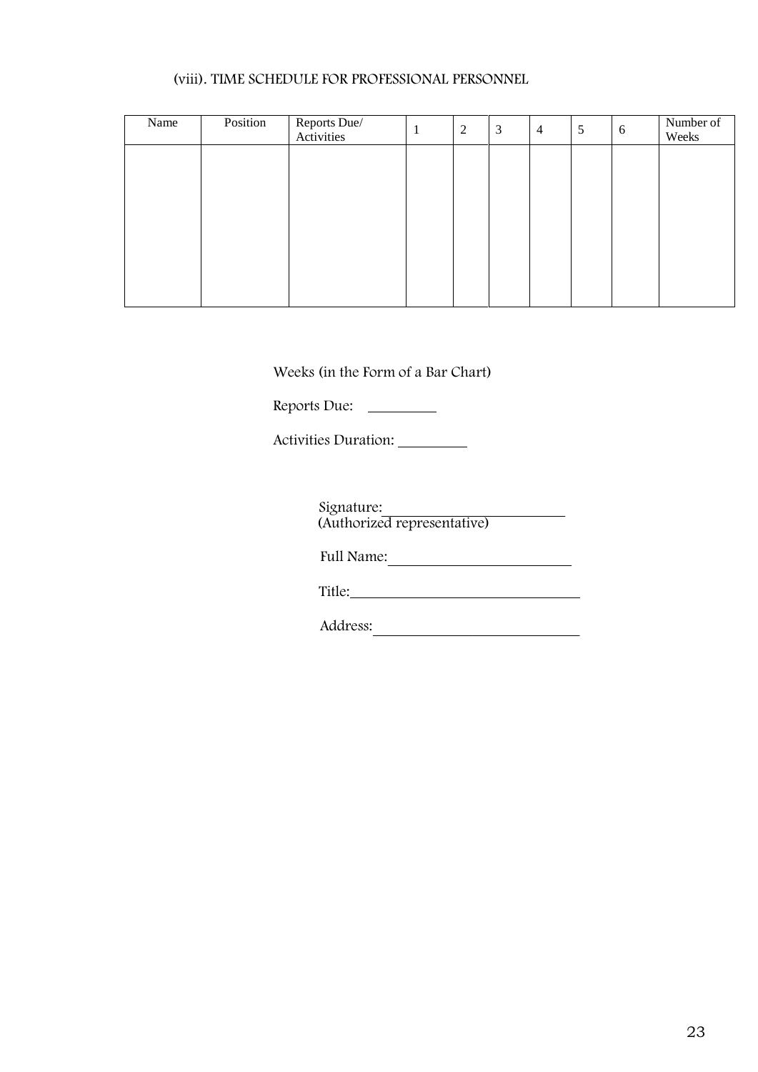## **(viii). TIME SCHEDULE FOR PROFESSIONAL PERSONNEL**

| Name | Position | Reports Due/<br>Activities | $\mathbf{I}$ | 2 | 3 | $\overline{4}$ | 5 | 6 | Number of<br>Weeks |
|------|----------|----------------------------|--------------|---|---|----------------|---|---|--------------------|
|      |          |                            |              |   |   |                |   |   |                    |
|      |          |                            |              |   |   |                |   |   |                    |
|      |          |                            |              |   |   |                |   |   |                    |
|      |          |                            |              |   |   |                |   |   |                    |
|      |          |                            |              |   |   |                |   |   |                    |
|      |          |                            |              |   |   |                |   |   |                    |

M Weeks (in the Form of a Bar Chart)

Reports Due:

Activities Duration:

Signature: (Authorized representative)

Full Name:

Title: The contract of the contract of the contract of the contract of the contract of the contract of the contract of the contract of the contract of the contract of the contract of the contract of the contract of the con

Address: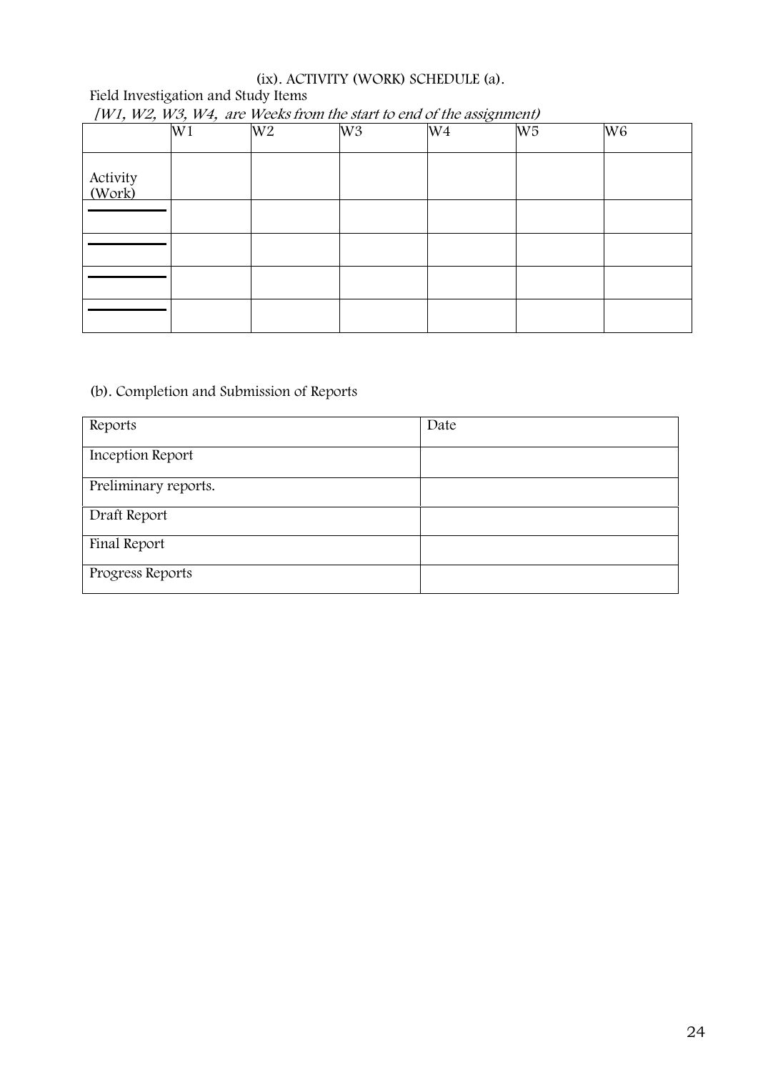## **(ix). ACTIVITY (WORK) SCHEDULE (a).**

## **Field Investigation and Study Items**

| $1 \cdot 2 \cdot 3 \cdot 4 = 2 \cdot 1 \cdot 2 \cdot 2 \cdot 3 \cdot 4 \cdot 5$ | W1 | W <sub>2</sub> | W <sub>3</sub> | "<br>W <sub>4</sub> | W <sub>5</sub> | W <sub>6</sub> |
|---------------------------------------------------------------------------------|----|----------------|----------------|---------------------|----------------|----------------|
| Activity<br>(Work)                                                              |    |                |                |                     |                |                |
|                                                                                 |    |                |                |                     |                |                |
|                                                                                 |    |                |                |                     |                |                |
|                                                                                 |    |                |                |                     |                |                |
|                                                                                 |    |                |                |                     |                |                |

## *[W1, W2, W3, W4, are Weeks from the start to end of the assignment)*

## **(b). Completion and Submission of Reports**

| Reports              | Date |
|----------------------|------|
| Inception Report     |      |
| Preliminary reports. |      |
| Draft Report         |      |
| Final Report         |      |
| Progress Reports     |      |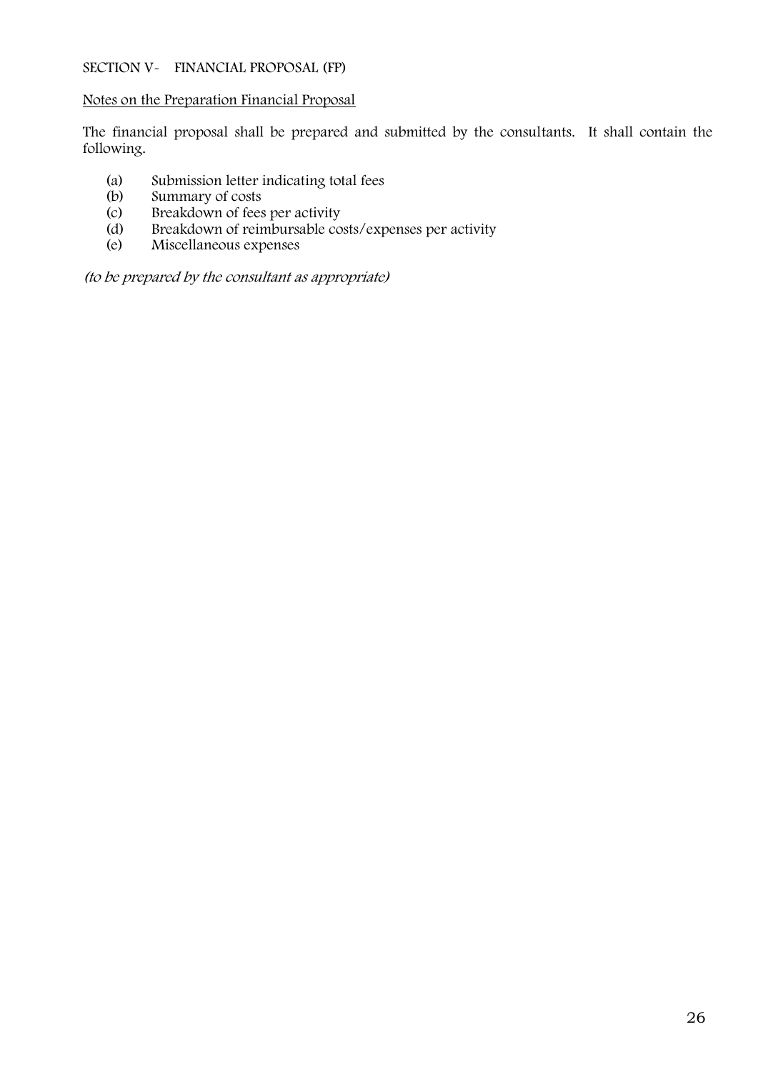## **SECTION V- FINANCIAL PROPOSAL (FP)**

#### **Notes on the Preparation Financial Proposal**

The financial proposal shall be prepared and submitted by the consultants. It shall contain the following.

- (a) Submission letter indicating total fees<br>(b) Summary of costs
- (b) Summary of costs<br>(c) Breakdown of fees
- Breakdown of fees per activity
- (d) Breakdown of reimbursable costs/expenses per activity<br>(e) Miscellaneous expenses
- Miscellaneous expenses

*(to be prepared by the consultant as appropriate)*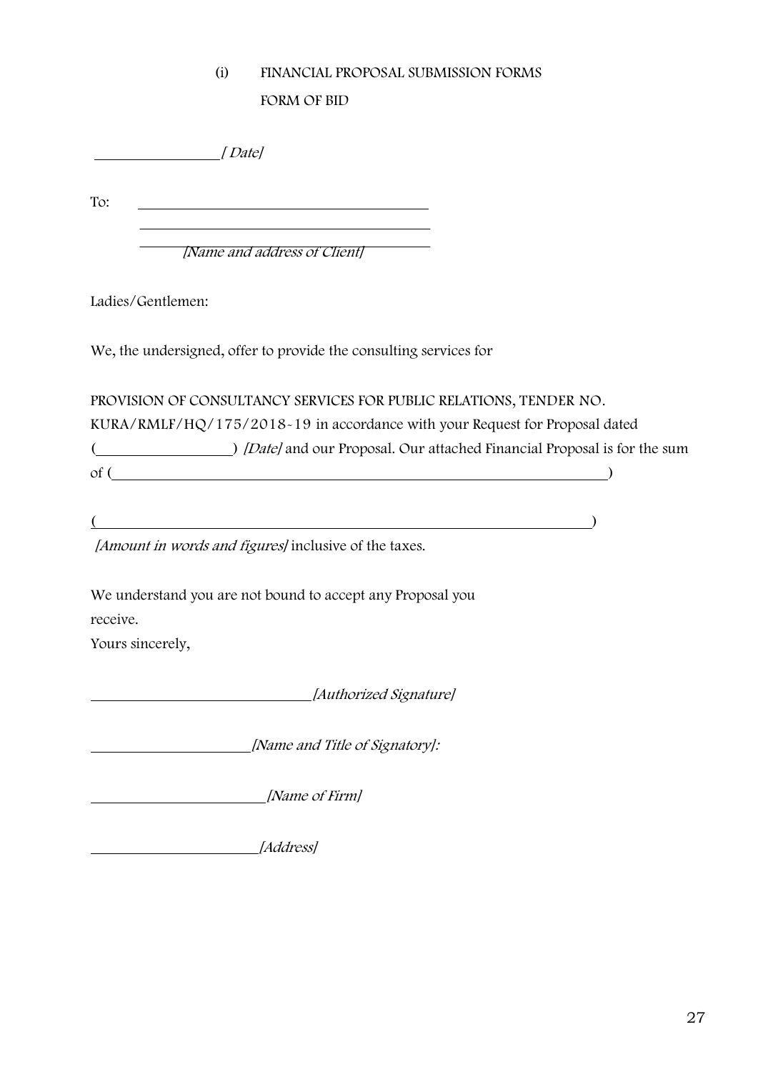## **(i) FINANCIAL PROPOSAL SUBMISSION FORMS**

**FORM OF BID**

*[ Date]*

To:

*[Name and address of Client]*

Ladies/Gentlemen:

We, the undersigned, offer to provide the consulting services for

**PROVISION OF CONSULTANCY SERVICES FOR PUBLIC RELATIONS, TENDER NO. KURA/RMLF/HQ/175/2018-19** in accordance with your Request for Proposal dated ( ) *[Date]* and our Proposal. Our attached Financial Proposal is for the sum  $\circ$  f ( $\qquad \qquad$ )

 $($ 

*[Amount in words and figures]* inclusive of the taxes.

We understand you are not bound to accept any Proposal you receive.

Yours sincerely,

*[Authorized Signature]*

*[Name and Title of Signatory]:*

*[Name of Firm]*

*[Address]*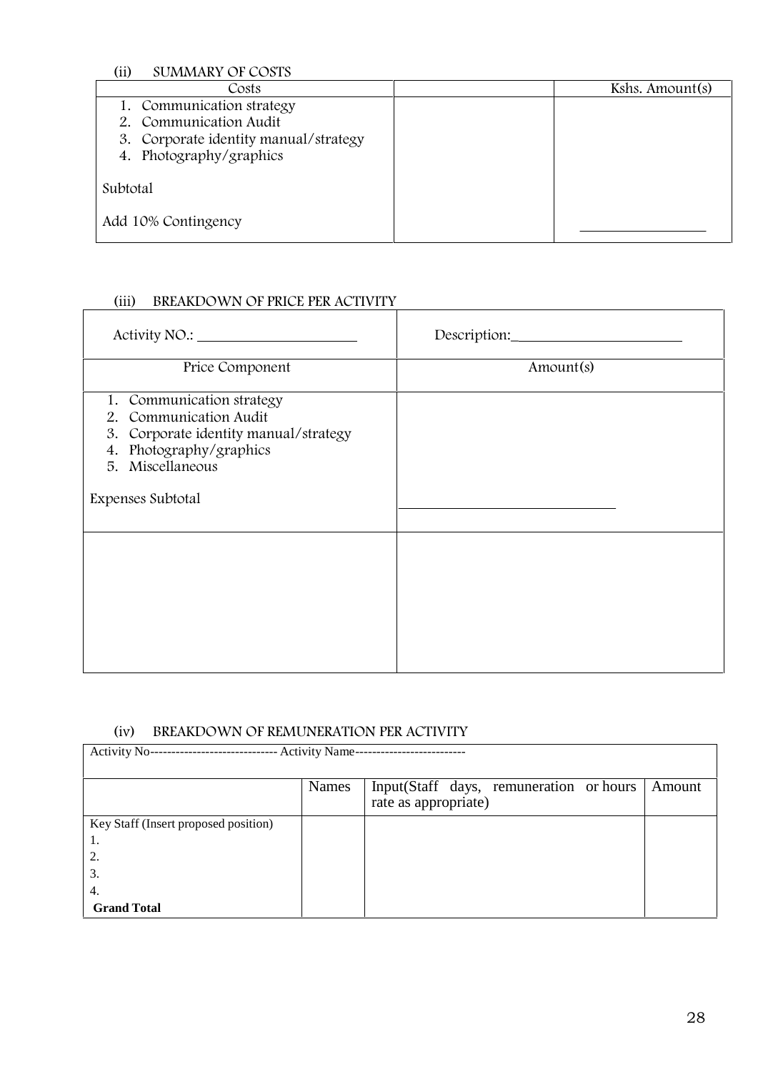**(ii) SUMMARY OF COSTS**

| Costs                                 | Kshs. Amount(s) |
|---------------------------------------|-----------------|
| 1. Communication strategy             |                 |
| 2. Communication Audit                |                 |
| 3. Corporate identity manual/strategy |                 |
| 4. Photography/graphics               |                 |
|                                       |                 |
| Subtotal                              |                 |
|                                       |                 |
| Add 10% Contingency                   |                 |
|                                       |                 |

#### Total Amount of Financial Proposal **(iii) BREAKDOWN OF PRICE PER ACTIVITY**

|                                                                                                                                                                  | Description: |
|------------------------------------------------------------------------------------------------------------------------------------------------------------------|--------------|
| Price Component                                                                                                                                                  | Amount(s)    |
| 1. Communication strategy<br>2. Communication Audit<br>3. Corporate identity manual/strategy<br>4. Photography/graphics<br>5. Miscellaneous<br>Expenses Subtotal |              |
|                                                                                                                                                                  |              |

## **(iv) BREAKDOWN OF REMUNERATION PER ACTIVITY**

| Activity No--<br><b>Activity Name--</b><br>--------------------<br> |              |                                                                 |        |  |
|---------------------------------------------------------------------|--------------|-----------------------------------------------------------------|--------|--|
|                                                                     | <b>Names</b> | Input(Staff days, remuneration or hours<br>rate as appropriate) | Amount |  |
| Key Staff (Insert proposed position)                                |              |                                                                 |        |  |
| 1.                                                                  |              |                                                                 |        |  |
| 2.                                                                  |              |                                                                 |        |  |
| 3.                                                                  |              |                                                                 |        |  |
| 4.                                                                  |              |                                                                 |        |  |
| <b>Grand Total</b>                                                  |              |                                                                 |        |  |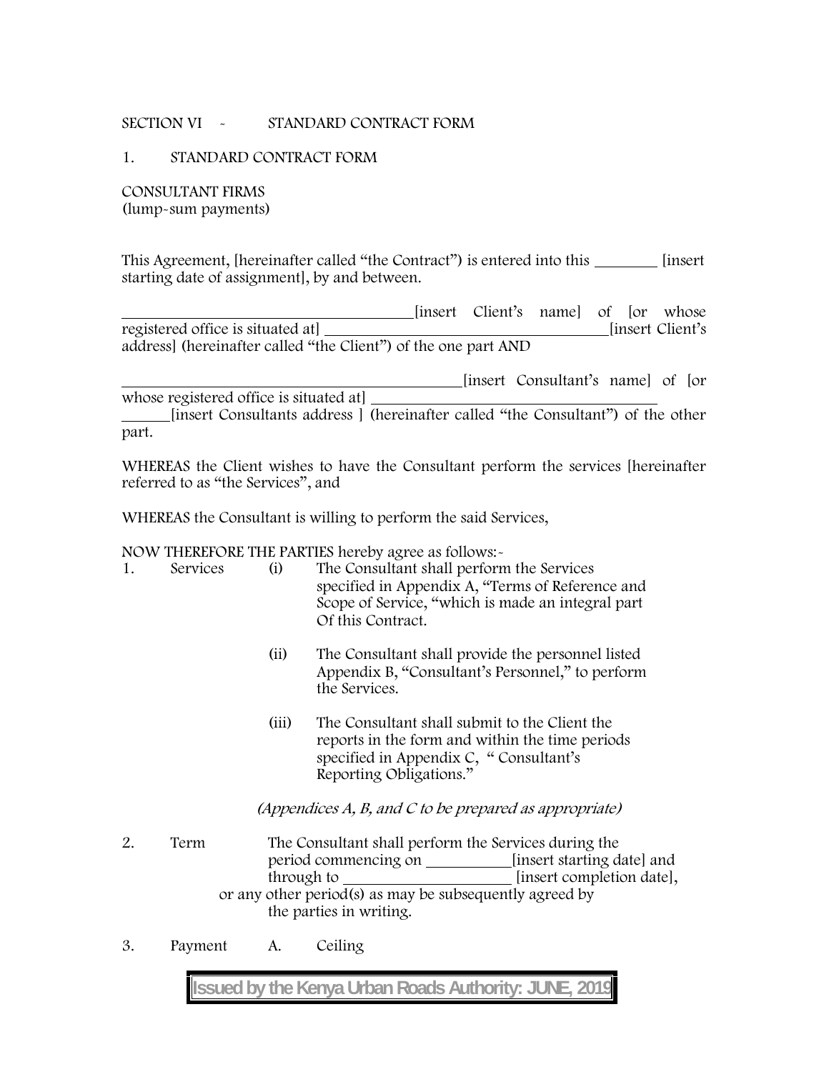## **SECTION VI - STANDARD CONTRACT FORM**

#### **1. STANDARD CONTRACT FORM**

**CONSULTANT FIRMS (lump-sum payments)**

This Agreement, [hereinafter called "the Contract") is entered into this \_\_\_\_\_\_\_\_ [insert] starting date of assignment], by and between.

[insert Client's name] of [or whose registered office is situated at [insert Client's address] (hereinafter called "the Client") of the one part AND

[insert Consultant's name] of [or whose registered office is situated at] [insert Consultants address ] (hereinafter called "the Consultant") of the other part.

WHEREAS the Client wishes to have the Consultant perform the services [hereinafter referred to as "the Services", and

WHEREAS the Consultant is willing to perform the said Services,

NOW THEREFORE THE PARTIES hereby agree as follows:-

| -1. | Services | (1) | The Consultant shall perform the Services         |
|-----|----------|-----|---------------------------------------------------|
|     |          |     | specified in Appendix A, "Terms of Reference and  |
|     |          |     | Scope of Service, "which is made an integral part |
|     |          |     | Of this Contract.                                 |

- (ii) The Consultant shall provide the personnel listed Appendix B, "Consultant's Personnel," to perform the Services.
- (iii) The Consultant shall submit to the Client the reports in the form and within the time periods specified in Appendix C, " Consultant's Reporting Obligations."

*(Appendices A, B, and C to be prepared as appropriate)*

- 2. **Term** The Consultant shall perform the Services during the period commencing on **insert starting date**] and through to *insert completion date*, or any other period(s) as may be subsequently agreed by the parties in writing.
- 3. **Payment** A. Ceiling

**Issued by the Kenya Urban Roads Authority: JUNE, 2019**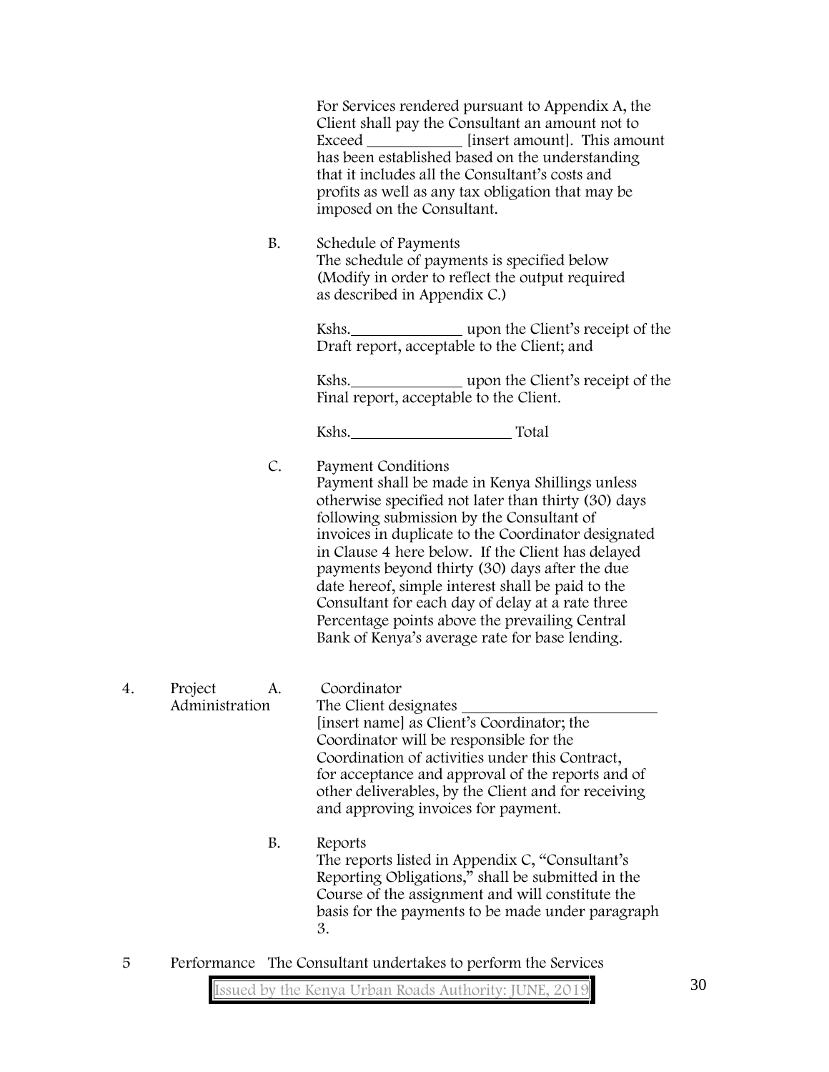|    |                                                               | For Services rendered pursuant to Appendix A, the<br>Client shall pay the Consultant an amount not to<br>Exceed <i>insert amount</i> ]. This amount<br>has been established based on the understanding<br>that it includes all the Consultant's costs and<br>profits as well as any tax obligation that may be<br>imposed on the Consultant.                                                                                                                                                                                                         |
|----|---------------------------------------------------------------|------------------------------------------------------------------------------------------------------------------------------------------------------------------------------------------------------------------------------------------------------------------------------------------------------------------------------------------------------------------------------------------------------------------------------------------------------------------------------------------------------------------------------------------------------|
|    | <b>B.</b>                                                     | Schedule of Payments<br>The schedule of payments is specified below<br>(Modify in order to reflect the output required<br>as described in Appendix C.)                                                                                                                                                                                                                                                                                                                                                                                               |
|    |                                                               | Draft report, acceptable to the Client; and                                                                                                                                                                                                                                                                                                                                                                                                                                                                                                          |
|    |                                                               | Kshs. _________________ upon the Client's receipt of the<br>Final report, acceptable to the Client.                                                                                                                                                                                                                                                                                                                                                                                                                                                  |
|    |                                                               | Kshs. Total                                                                                                                                                                                                                                                                                                                                                                                                                                                                                                                                          |
|    | C.                                                            | Payment Conditions<br>Payment shall be made in Kenya Shillings unless<br>otherwise specified not later than thirty (30) days<br>following submission by the Consultant of<br>invoices in duplicate to the Coordinator designated<br>in Clause 4 here below. If the Client has delayed<br>payments beyond thirty (30) days after the due<br>date hereof, simple interest shall be paid to the<br>Consultant for each day of delay at a rate three<br>Percentage points above the prevailing Central<br>Bank of Kenya's average rate for base lending. |
| 4. | Project<br>A.<br>Administration                               | Coordinator<br>The Client designates<br>[insert name] as Client's Coordinator; the<br>Coordinator will be responsible for the<br>Coordination of activities under this Contract,<br>for acceptance and approval of the reports and of<br>other deliverables, by the Client and for receiving<br>and approving invoices for payment.                                                                                                                                                                                                                  |
|    | <b>B.</b>                                                     | Reports<br>The reports listed in Appendix C, "Consultant's<br>Reporting Obligations," shall be submitted in the<br>Course of the assignment and will constitute the<br>basis for the payments to be made under paragraph<br>3.                                                                                                                                                                                                                                                                                                                       |
| 5  | Performance The Consultant undertakes to perform the Services |                                                                                                                                                                                                                                                                                                                                                                                                                                                                                                                                                      |

**Issued by the Kenya Urban Roads Authority: JUNE, 2019**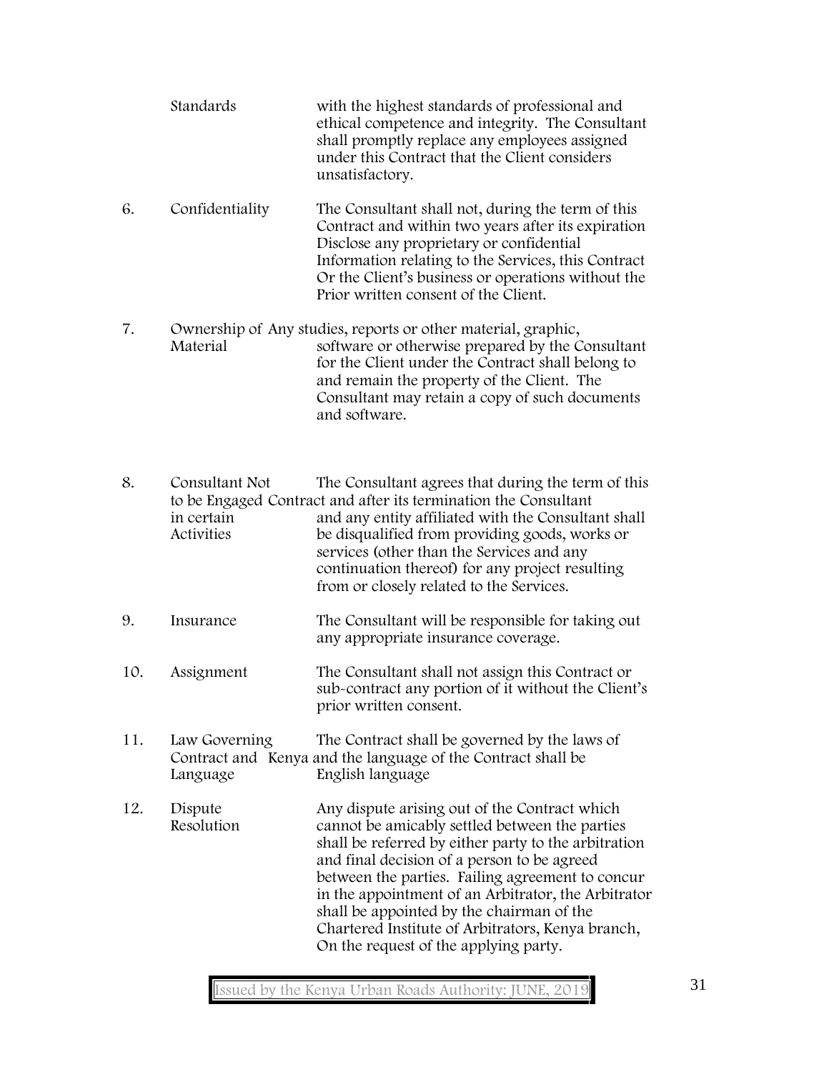|     | Standards                                                                                                                                                      | with the highest standards of professional and<br>ethical competence and integrity. The Consultant<br>shall promptly replace any employees assigned<br>under this Contract that the Client considers<br>unsatisfactory.                                                                                                                                                                                                                                      |
|-----|----------------------------------------------------------------------------------------------------------------------------------------------------------------|--------------------------------------------------------------------------------------------------------------------------------------------------------------------------------------------------------------------------------------------------------------------------------------------------------------------------------------------------------------------------------------------------------------------------------------------------------------|
| 6.  | Confidentiality                                                                                                                                                | The Consultant shall not, during the term of this<br>Contract and within two years after its expiration<br>Disclose any proprietary or confidential<br>Information relating to the Services, this Contract<br>Or the Client's business or operations without the<br>Prior written consent of the Client.                                                                                                                                                     |
| 7.  | Material                                                                                                                                                       | Ownership of Any studies, reports or other material, graphic,<br>software or otherwise prepared by the Consultant<br>for the Client under the Contract shall belong to<br>and remain the property of the Client. The<br>Consultant may retain a copy of such documents<br>and software.                                                                                                                                                                      |
| 8.  | Consultant Not<br>in certain<br>Activities                                                                                                                     | The Consultant agrees that during the term of this<br>to be Engaged Contract and after its termination the Consultant<br>and any entity affiliated with the Consultant shall<br>be disqualified from providing goods, works or<br>services (other than the Services and any<br>continuation thereof) for any project resulting<br>from or closely related to the Services.                                                                                   |
| 9.  | Insurance                                                                                                                                                      | The Consultant will be responsible for taking out<br>any appropriate insurance coverage.                                                                                                                                                                                                                                                                                                                                                                     |
| 10. | Assignment                                                                                                                                                     | The Consultant shall not assign this Contract or<br>sub-contract any portion of it without the Client's<br>prior written consent.                                                                                                                                                                                                                                                                                                                            |
| 11. | Law Governing<br>The Contract shall be governed by the laws of<br>Contract and Kenya and the language of the Contract shall be<br>English language<br>Language |                                                                                                                                                                                                                                                                                                                                                                                                                                                              |
| 12. | Dispute<br>Resolution                                                                                                                                          | Any dispute arising out of the Contract which<br>cannot be amicably settled between the parties<br>shall be referred by either party to the arbitration<br>and final decision of a person to be agreed<br>between the parties. Failing agreement to concur<br>in the appointment of an Arbitrator, the Arbitrator<br>shall be appointed by the chairman of the<br>Chartered Institute of Arbitrators, Kenya branch,<br>On the request of the applying party. |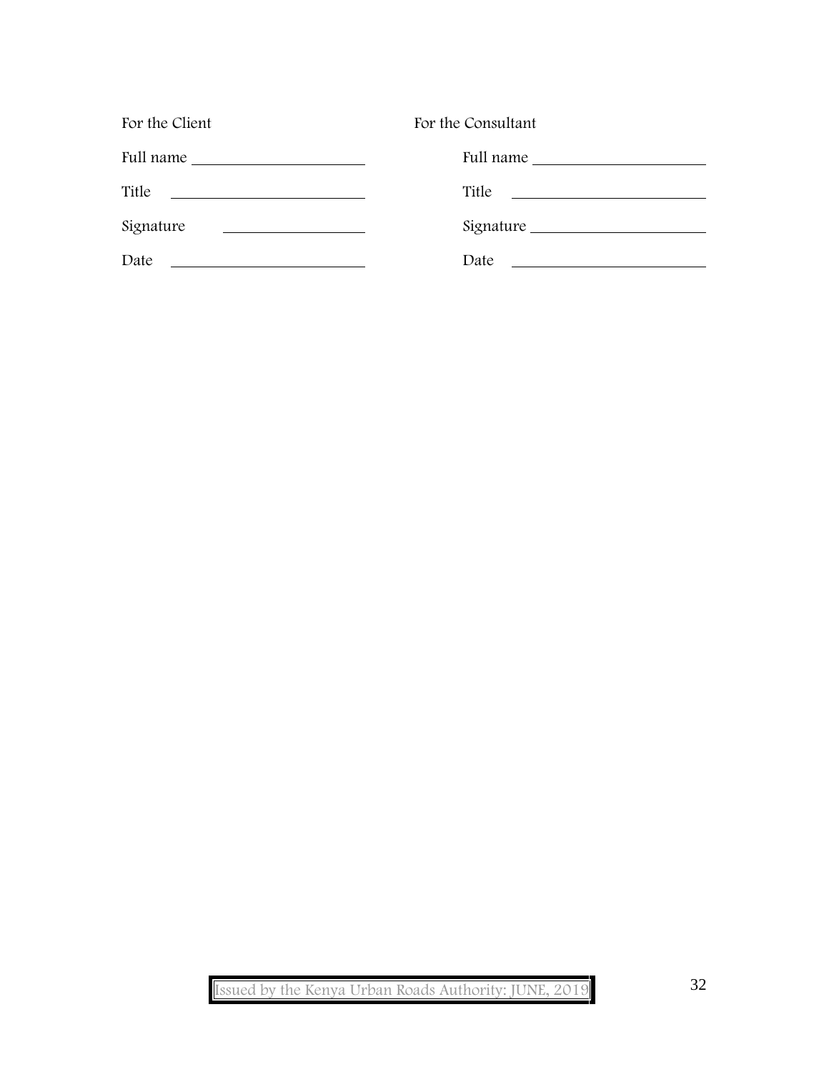| For the Client                                                                                                                | For the Consultant                                                                                                             |
|-------------------------------------------------------------------------------------------------------------------------------|--------------------------------------------------------------------------------------------------------------------------------|
|                                                                                                                               | Full name                                                                                                                      |
| Title<br><u> 2000 - Jan Samuel Barbara, politik eta politik eta politik eta politik eta politik eta politik eta politik e</u> | Title<br><u> 1989 - Johann Harry Harry Harry Harry Harry Harry Harry Harry Harry Harry Harry Harry Harry Harry Harry Harry</u> |
| Signature                                                                                                                     | Signature                                                                                                                      |
| Date                                                                                                                          | Date<br><u> 1980 - Jan Samuel Barbara, martin di</u>                                                                           |